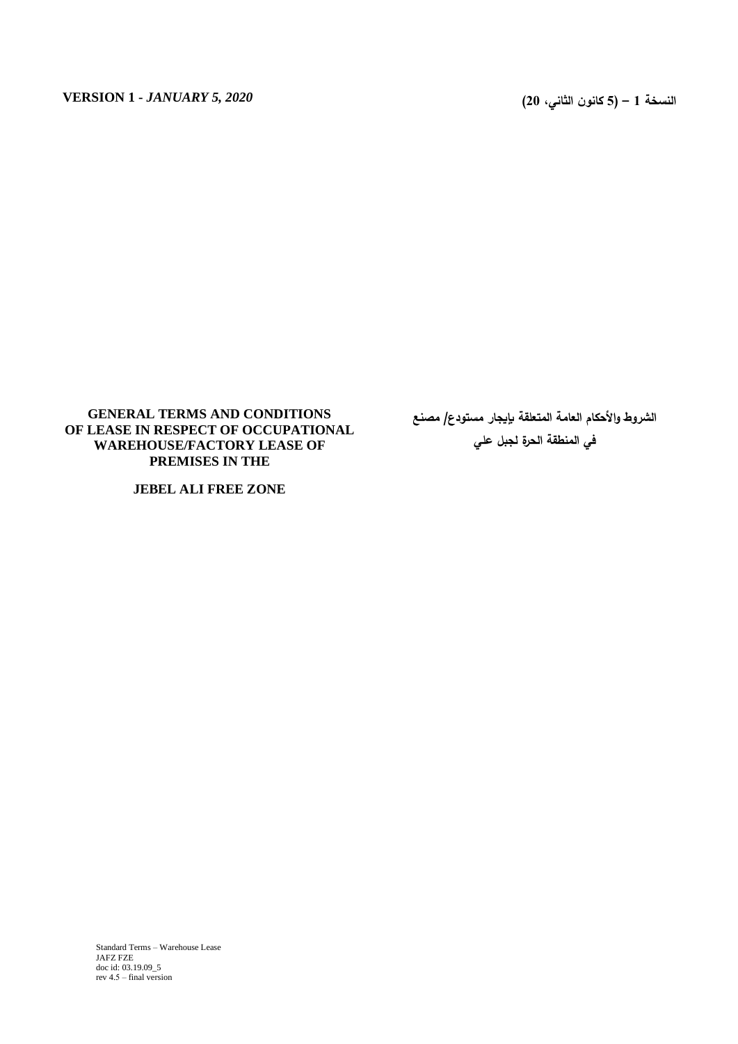# **GENERAL TERMS AND CONDITIONS OF LEASE IN RESPECT OF OCCUPATIONAL WAREHOUSE/FACTORY LEASE OF PREMISES IN THE**

**JEBEL ALI FREE ZONE**

**الشروط واألحكام العامة المتعلقة بإيجار مستودع/ مصنع في المنطقة الحرة لجبل علي**

Standard Terms – Warehouse Lease JAFZ FZE doc id: 03.19.09\_5 rev  $4.5$  – final version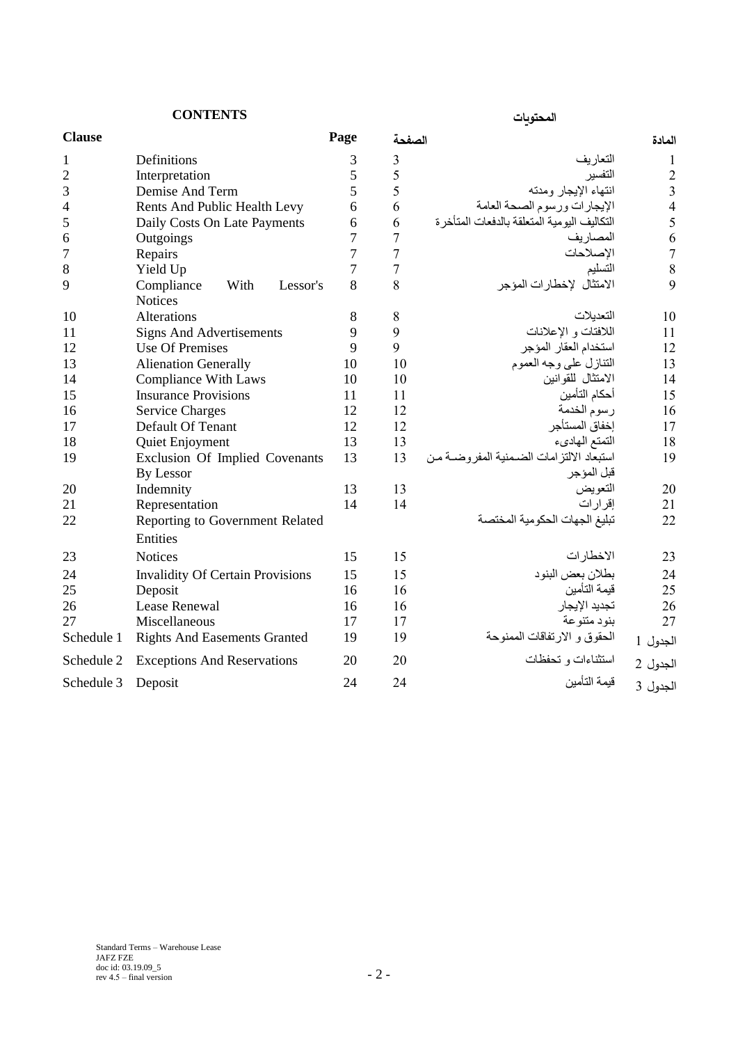**المحتويات CONTENTS**

| <b>Clause</b>  |                                                  | Page | الصفحة         |                                               | المادة                  |
|----------------|--------------------------------------------------|------|----------------|-----------------------------------------------|-------------------------|
| 1              | Definitions                                      | 3    | 3              | التعاريف                                      | $\mathbf{I}$            |
| $\overline{2}$ | Interpretation                                   | 5    | 5              | التفسير                                       | $\overline{2}$          |
| 3              | Demise And Term                                  | 5    | 5              | انتهاء الإيجار ومدته                          | $\overline{\mathbf{3}}$ |
| 4              | Rents And Public Health Levy                     | 6    | 6              | الإيجارات ورسوم الصحة العامة                  | $\overline{4}$          |
| 5              | Daily Costs On Late Payments                     | 6    | 6              | التكاليف اليو مية المتعلقة بالدفعات المتأخر ة | 5                       |
| 6              | Outgoings                                        | 7    | $\overline{7}$ | المصاريف                                      | 6                       |
| 7              | Repairs                                          | 7    | $\overline{7}$ | الإصلاحات                                     | $\overline{7}$          |
| 8              | Yield Up                                         | 7    | $\overline{7}$ | التسليم                                       | 8                       |
| 9              | Compliance<br>With<br>Lessor's<br><b>Notices</b> | 8    | 8              | الامتثال لإخطارات المؤجر                      | 9                       |
| 10             | Alterations                                      | 8    | 8              | التعدبلات                                     | 10                      |
| 11             | <b>Signs And Advertisements</b>                  | 9    | 9              | اللافتات و الإعلانات                          | 11                      |
| 12             | <b>Use Of Premises</b>                           | 9    | 9              | استخدام العقار المؤجر                         | 12                      |
| 13             | <b>Alienation Generally</b>                      | 10   | 10             | التنازل على وجه العموم                        | 13                      |
| 14             | <b>Compliance With Laws</b>                      | 10   | 10             | الامتثال للقوانين                             | 14                      |
| 15             | <b>Insurance Provisions</b>                      | 11   | 11             | أحكام التأمين                                 | 15                      |
| 16             | <b>Service Charges</b>                           | 12   | 12             | رسوم الخدمة                                   | 16                      |
| 17             | Default Of Tenant                                | 12   | 12             | إخفاق المستأجر                                | 17                      |
| 18             | Quiet Enjoyment                                  | 13   | 13             | التمتع الهادىء                                | 18                      |
| 19             | Exclusion Of Implied Covenants                   | 13   | 13             | استبعاد الالتز امات الضمنية المفر وضبة من     | 19                      |
|                | By Lessor                                        |      |                | قبل المؤجر                                    |                         |
| 20             | Indemnity                                        | 13   | 13             | التعويض                                       | 20                      |
| 21             | Representation                                   | 14   | 14             | إقرار ات                                      | 21                      |
| 22             | Reporting to Government Related                  |      |                | تبليغ الجهات الحكومية المختصة                 | 22                      |
|                | Entities                                         |      |                |                                               |                         |
| 23             | <b>Notices</b>                                   | 15   | 15             | الاخطارات                                     | 23                      |
| 24             | <b>Invalidity Of Certain Provisions</b>          | 15   | 15             | بطلان بعض البنود                              | 24                      |
| 25             | Deposit                                          | 16   | 16             | قيمة التأمين                                  | 25                      |
| 26             | Lease Renewal                                    | 16   | 16             | تجديد الإيجار                                 | 26                      |
| 27             | Miscellaneous                                    | 17   | 17             | بنو د متنو عة                                 | 27                      |
| Schedule 1     | <b>Rights And Easements Granted</b>              | 19   | 19             | الحقوق و الارتفاقات الممنوحة                  | الجدول 1                |

الجدول 2 استثناءات و تحفظات 20 20 12 Schedule 2 Exceptions And Reservations 2 20<br>الحدول 3 فيمة التأمين 24 24 24 Israel 2 24 24

الجدول

Schedule 3 Deposit 24 24 24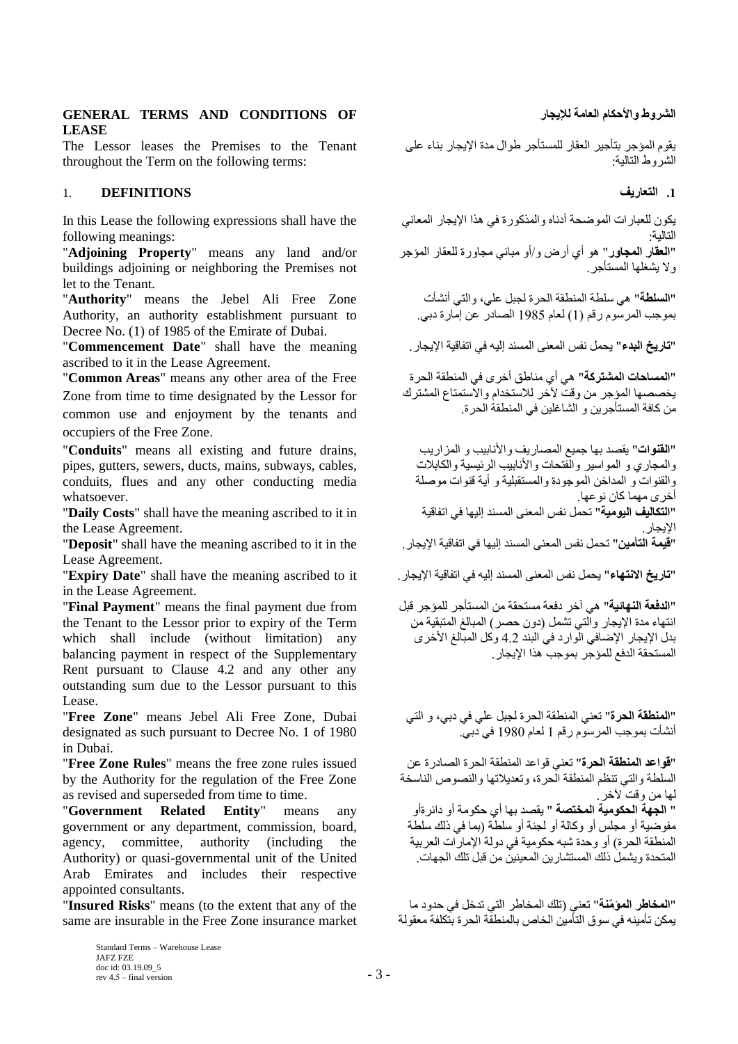**GENERAL TERMS AND CONDITIONS OF لإليجار العامة واألحكام الشروط LEASE**

The Lessor leases the Premises to the Tenant throughout the Term on the following terms:

### **.1 التعاريف DEFINITIONS** 1.

In this Lease the following expressions shall have the following meanings:

"**Adjoining Property**" means any land and/or buildings adjoining or neighboring the Premises not let to the Tenant.

"**Authority**" means the Jebel Ali Free Zone Authority, an authority establishment pursuant to Decree No. (1) of 1985 of the Emirate of Dubai.

"**تاريخ البدء**" يحمل نفس المعنى المسند إليه في اتفاقية اإليجار. meaning the have shall" **Date Commencement**" ascribed to it in the Lease Agreement.

"**Common Areas**" means any other area of the Free Zone from time to time designated by the Lessor for common use and enjoyment by the tenants and occupiers of the Free Zone.

"**Conduits**" means all existing and future drains, pipes, gutters, sewers, ducts, mains, subways, cables, conduits, flues and any other conducting media whatsoever.

"**Daily Costs**" shall have the meaning ascribed to it in the Lease Agreement.

"**Deposit**" shall have the meaning ascribed to it in the Lease Agreement.

"**تاريخ االنتهاء**" يحمل نفس المعنى المسند إليه في اتفاقية اإليجار. it to ascribed meaning the have shall" **Date Expiry**" in the Lease Agreement.

"**Final Payment**" means the final payment due from the Tenant to the Lessor prior to expiry of the Term which shall include (without limitation) any balancing payment in respect of the Supplementary Rent pursuant to Clause 4.2 and any other any outstanding sum due to the Lessor pursuant to this Lease.

"**Free Zone**" means Jebel Ali Free Zone, Dubai designated as such pursuant to Decree No. 1 of 1980 in Dubai.

"**Free Zone Rules**" means the free zone rules issued by the Authority for the regulation of the Free Zone as revised and superseded from time to time.

"**Government Related Entity**" means any government or any department, commission, board, agency, committee, authority (including the Authority) or quasi-governmental unit of the United Arab Emirates and includes their respective appointed consultants.

"**Insured Risks**" means (to the extent that any of the same are insurable in the Free Zone insurance market

يقوم المؤجر بتأجير العقار للمستأجر طوال مدة اإليجار بناء على الشروط التالية:

يكون للعبارات الموضحة أدناه والمذكورة في هذا الإيجار المعاني التالية: "**العقار المجاور**" هو أي أرض و/أو مباني مجاورة للعقار المؤجر وال يشغلها المستأجر.

"**السلطة**" هي سلطة المنطقة الحرة لجبل علي، والتي أنشأت بموجب المرسوم رقم )1( لعام 1985 الصادر عن إمارة دبي.

"**المساحات المشتركة**" هي أي مناطق أخرى في المنطقة الحرة يخصصها المؤجر من وقت آلخر لالستخدام واالستمتاع المشترك من كافة المستأجرين و الشاغلين في المنطقة الحرة.

"**القنوات**" يقصد بها جميع المصاريف واألنابيب و المزاريب والمجاري و المواسير والفتحات واألنابيب الرئيسية والكابالت والقنوات و المداخن الموجودة والمستقبلية و أية قنوات موصلة أخرى مهما كان نوعها. "**التكاليف اليومية**" تحمل نفس المعنى المسند إليها في اتفاقية الإيجار.<br>"**قيمة التأمين"** تحمل نفس المعنى المسند إليها في اتفاقية الإيجار .

"**الدفعة النهائية**" هي آخر دفعة مستحقة من المستأجر للمؤجر قبل انتهاء مدة اإليجار والتي تشمل )دون حصر( المبالغ المتبقية من بدل الإيجار الإضافي الوارد في البند 4.2 وكل المبالغ الأخرى المستحقة الدفع للمؤجر بموجب هذا اإليجار.

"**المنطقة الحرة**" تعني المنطقة الحرة لجبل علي في دبي، و التي أنشأت بموجب المرسوم رقم 1 لعام 1980 في دبي.

"**قواعد المنطقة الحرة**" تعني قواعد المنطقة الحرة الصادرة عن السلطة والتي تنظم المنطقة الحرة، وتعديالتها والنصوص الناسخة لها من وقت لأخر ٍ " **الجهة الحكومية المختصة** " يقصد بها أي حكومة أو دائرةأو مفوضية أو مجلس أو وكالة أو لجنة أو سلطة (بما في ذلك سلطة المنطقة الحرة) أو وحدة شبه حكومية في دولة الإمارات العربية المتحدة ويشمل ذلك المستشارين المعينين من قبل تلك الجهات.

"**المخاطر المؤ ّمنة**" تعني )تلك المخاطر التي تدخل في حدود ما يمكن تأمينه في سوق التأمين الخاص بالمنطقة الحرة بتكلفة معقولة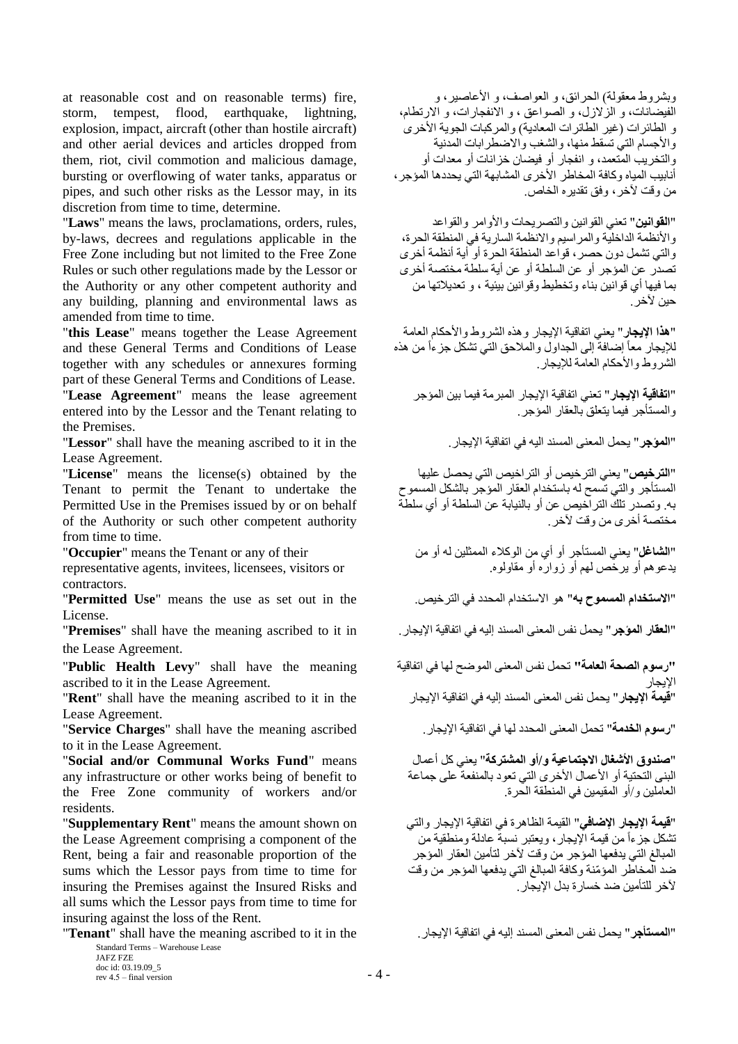at reasonable cost and on reasonable terms) fire, storm, tempest, flood, earthquake, lightning, explosion, impact, aircraft (other than hostile aircraft) and other aerial devices and articles dropped from them, riot, civil commotion and malicious damage, bursting or overflowing of water tanks, apparatus or pipes, and such other risks as the Lessor may, in its discretion from time to time, determine.

"**Laws**" means the laws, proclamations, orders, rules, by-laws, decrees and regulations applicable in the Free Zone including but not limited to the Free Zone Rules or such other regulations made by the Lessor or the Authority or any other competent authority and any building, planning and environmental laws as amended from time to time.

"**this Lease**" means together the Lease Agreement and these General Terms and Conditions of Lease together with any schedules or annexures forming part of these General Terms and Conditions of Lease.

"**Lease Agreement**" means the lease agreement entered into by the Lessor and the Tenant relating to the Premises.

"**Lessor**" shall have the meaning ascribed to it in the .اإليجار اتفاقية في اليه المسند المعنى يحمل" **المؤجر**" Lease Agreement.

"**License**" means the license(s) obtained by the Tenant to permit the Tenant to undertake the Permitted Use in the Premises issued by or on behalf of the Authority or such other competent authority from time to time.

"**Occupier**" means the Tenant or any of their

representative agents, invitees, licensees, visitors or contractors.

"**Permitted Use**" means the use as set out in the .الترخيص في المحدد االستخدام هو" **به المسموح االستخدام**" License.

the Lease Agreement.

"**Public Health Levy**" shall have the meaning ascribed to it in the Lease Agreement.

"**Rent**" shall have the meaning ascribed to it in the Lease Agreement.

"**رسوم الخدمة**" تحمل المعنى المحدد لها في اتفاقية اإليجار. ascribed meaning the have shall" **Charges Service**" to it in the Lease Agreement.

"**Social and/or Communal Works Fund**" means any infrastructure or other works being of benefit to the Free Zone community of workers and/or residents.

"**Supplementary Rent**" means the amount shown on the Lease Agreement comprising a component of the Rent, being a fair and reasonable proportion of the sums which the Lessor pays from time to time for insuring the Premises against the Insured Risks and all sums which the Lessor pays from time to time for insuring against the loss of the Rent.

"**Tenant**" shall have the meaning ascribed to it in the .اإليجار اتفاقية في إليه المسند المعنى نفس يحمل" **المستأجر**"

Standard Terms – Warehouse Lease

JAFZ FZE doc id: 03.19.09\_5 rev  $4.5 - \text{final version}$  - 4 -

وبشروط معقولة) الحرائق، و العواصف، و الأعاصير، و الفيضانات، و الزالزل، و الصواعق ، و االنفجارات، و االرتطام، و الطائرات (غير الطائرات المعادية) والمركبات الجوية الأخرى والأجسام التي تسقط منها، والشغب والاضطرابات المدنية والتخريب المتعمد، و انفجار أو فيضان خزانات أو معدات أو أنابيب المياه وكافة المخاطر األخرى المشابهة التي يحددها المؤجر، من وقت آلخر، وفق تقديره الخاص.

"**القوانين**" تعني القوانين والتصريحات واألوامر والقواعد والأنظمة الداخلية والمراسيم والانظمة السارية في المنطقة الحرة، والتي تشمل دون حصر، قواعد المنطقة الحرة أو أية أنظمة أخرى تصدر عن المؤجر أو عن السلطة أو عن أية سلطة مختصة أخرى بما فيها أي قوانين بناء وتخطيط وقوانين بيئية ، و تعديالتها من حبن لآخر .

"**هذا اإليجار**" يعني اتفاقية اإليجار وهذه الشروط واألحكام العامة للإيجار معاً إضافةً إلى الجداول والملاحق التي تشكل جزءاً من هذه الشر وط والأحكام العامة للإيجار .

"**اتفاقية اإليجار**" تعني اتفاقية اإليجار المبرمة فيما بين المؤجر والمستأجر فيما يتعلق بالعقار المؤجر.

"**الترخيص**" يعني الترخيص أو التراخيص التي يحصل عليها المستأجر والتي تسمح له باستخدام العقار المؤجر بالشكل المسموح به. وتصدر تلك التراخيص عن أو بالنيابة عن السلطة أو أي سلطة مختصة أخرى من وقت آلخر.

"**الشاغل**" يعني المستأجر أو أي من الوكالء الممثلين له أو من يدعوهم أو يرخص لهم أو زواره أو مقاولوه.

"**العقار المؤجر**" يحمل نفس المعنى المسند إليه في اتفاقية اإليجار. in it to ascribed meaning the have shall" **Premises**"

**"رسوم الصحة العامة"** تحمل نفس المعنى الموةح لها في اتفاقية

الإيجار<br>"**قيمة الإيجار**" يحمل نفس المعنى المسند إليه في اتفاقية الإيجار

"**صندوق األشغال االجتماعية و/أو المشتركة**" يعني كل أعمال البنى التحتية أو الأعمال الأخرى التي تعود بالمنفعة على جماعة العاملين و/أو المقيمين في المنطقة الحرة.

"**قيمة اإليجار اإلضافي**" القيمة الظاهرة في اتفاقية اإليجار والتي تشكل جزءاً من قيمة الإيجار، ويعتبر نسبةً عادلة ومنطقية من المبالغ التي يدفعها المؤجر من وقت آلخر لتأمين العقار المؤجر ضد المخاطر المؤمّنة وكافة المبالغ التي يدفعها المؤجر من وقت لآخر للتأمين ضد خسارة بدل الإيجار .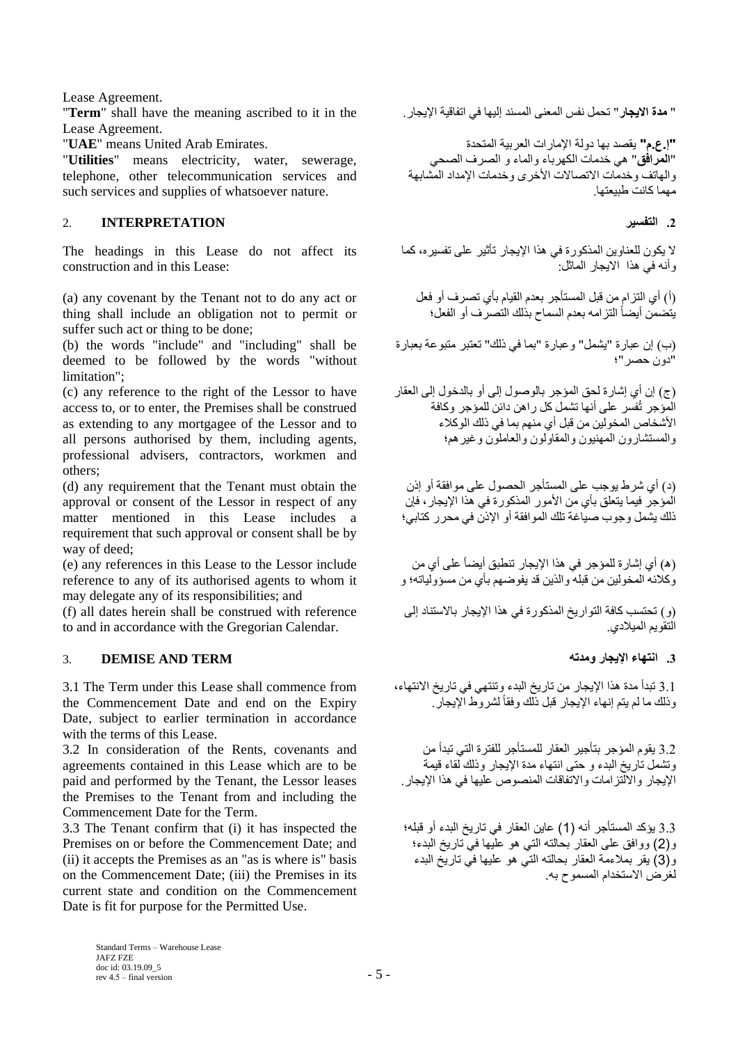Lease Agreement.

" **مدة االيجار**" تحمل نفس المعنى المسند إليها في اتفاقية اإليجار. the in it to ascribed meaning the have shall" **Term**" Lease Agreement.

"**Utilities**" means electricity, water, sewerage, telephone, other telecommunication services and such services and supplies of whatsoever nature.

# **.2 التفسير INTERPRETATION** 2.

The headings in this Lease do not affect its construction and in this Lease:

(a) any covenant by the Tenant not to do any act or thing shall include an obligation not to permit or suffer such act or thing to be done;

(b) the words "include" and "including" shall be deemed to be followed by the words "without limitation";

(c) any reference to the right of the Lessor to have access to, or to enter, the Premises shall be construed as extending to any mortgagee of the Lessor and to all persons authorised by them, including agents, professional advisers, contractors, workmen and others;

(d) any requirement that the Tenant must obtain the approval or consent of the Lessor in respect of any matter mentioned in this Lease includes a requirement that such approval or consent shall be by way of deed;

(e) any references in this Lease to the Lessor include reference to any of its authorised agents to whom it may delegate any of its responsibilities; and

(f) all dates herein shall be construed with reference to and in accordance with the Gregorian Calendar.

# **.3 انتهاء اإليجار ومدته TERM AND DEMISE** 3.

3.1 The Term under this Lease shall commence from the Commencement Date and end on the Expiry Date, subject to earlier termination in accordance with the terms of this Lease.

3.2 In consideration of the Rents, covenants and agreements contained in this Lease which are to be paid and performed by the Tenant, the Lessor leases the Premises to the Tenant from and including the Commencement Date for the Term.

3.3 The Tenant confirm that (i) it has inspected the Premises on or before the Commencement Date; and (ii) it accepts the Premises as an "as is where is" basis on the Commencement Date; (iii) the Premises in its current state and condition on the Commencement Date is fit for purpose for the Permitted Use.

**"إ.ع.م"** يقصد بها دولة اإلمارات العربية المتحدة .Emirates Arab United means" **UAE**" "**المرافق**" هي خدمات الكهرباء والماء و الصرف الصحي والهاتف وخدمات الاتصالات الأخرى وخدمات الإمداد المشابهة مهما كانت طبيعتها.

ال يكون للعناوين المذكورة في هذا اإليجار تأثير على تفسيره، كما وأنه في هذا االيجار الماثل:

)أ( أي التزام من قبل المستأجر بعدم القيام بأي تصرف أو فعل يتضمن أيضاً التزامه بعدم السماح بذلك التصرف أو الفعل؛

)ب( إن عبارة "يشمل" وعبارة "بما في ذلك" تعتبر متبوعة بعبارة "دون حصر"؛

)ج( إن أي إشارة لحق المؤجر بالوصول إلى أو بالدخول إلى العقار المؤجر تُفسر على أنها تشمل كل راهن دائن للمؤجر وكافة األشخاص المخولين من قبل أي منهم بما في ذلك الوكالء والمستشارون المهنيون والمقاولون والعاملون وغيرهم؛

)د( أي شرط يوجب على المستأجر الحصول على موافقة أو إذن المؤجر فيما يتعلق بأي من الأمور المذكورة في هذا الإيجار ، فإن ذلك يشمل وجوب صياغة تلك الموافقة أو اإلذن في محرر كتابي؛

)ه( أي إشارة للمؤجر في هذا اإليجار تنطبق أيضاً على أي من وكالئه المخولين من قبله والذين قد يفوةهم بأي من مسؤولياته؛ و

)و( تحتسب كافة التواريخ المذكورة في هذا اإليجار باالستناد إلى التقويم الميالدي.

3.1 تبدأ مدة هذا اإليجار من تاريخ البدء وتنتهي في تاريخ االنتهاء، وذلك ما لم يتم إنهاء اإليجار قبل ذلك وفقاً لشروط اإليجار.

3.2 يقوم المؤجر بتأجير العقار للمستأجر للفترة التي تبدأ من وتشمل تاريخ البدء و حتى انتهاء مدة اإليجار وذلك لقاء قيمة اإليجار وااللتزامات واالتفاقات المنصوص عليها في هذا اإليجار.

3.3 يؤكد المستأجر أنه (1) عاين العقار في تاريخ البدء أو قبله؛ و)2( ووافق على العقار بحالته التي هو عليها في تاريخ البدء؛ و)3( يقر بمالءمة العقار بحالته التي هو عليها في تاريخ البدء لغرض االستخدام المسموح به.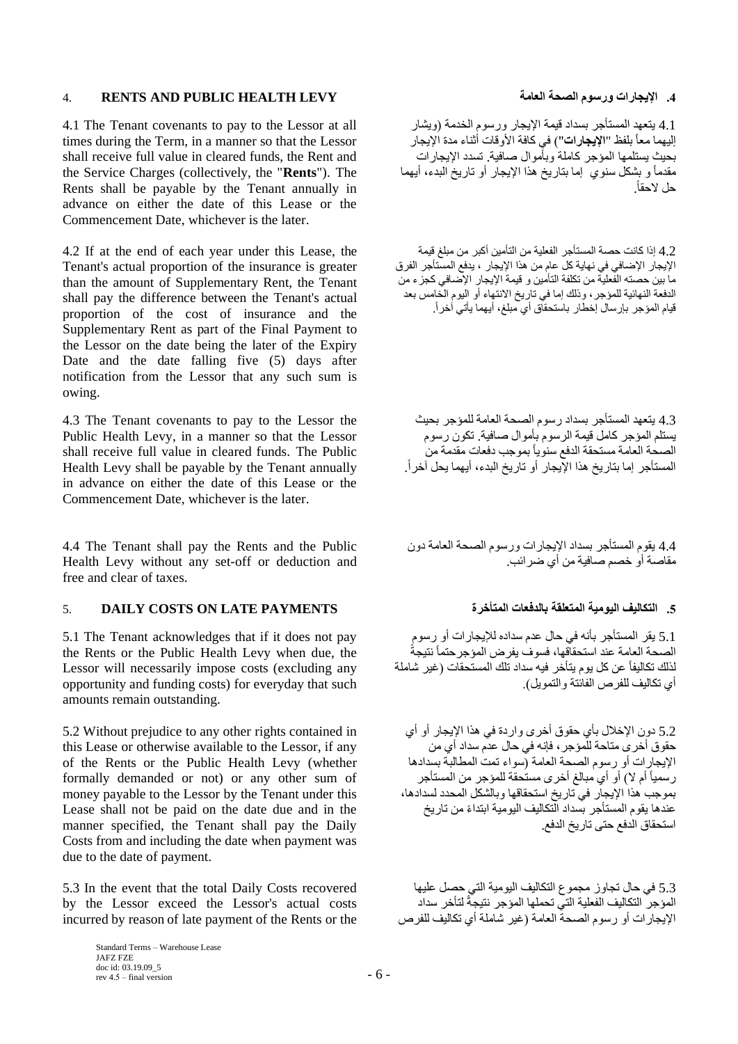# 4. **RENTS AND PUBLIC HEALTH LEVY العامة الصحة ورسوم اإليجارات .4**

4.1 The Tenant covenants to pay to the Lessor at all times during the Term, in a manner so that the Lessor shall receive full value in cleared funds, the Rent and the Service Charges (collectively, the "**Rents**"). The Rents shall be payable by the Tenant annually in advance on either the date of this Lease or the Commencement Date, whichever is the later.

4.2 If at the end of each year under this Lease, the Tenant's actual proportion of the insurance is greater than the amount of Supplementary Rent, the Tenant shall pay the difference between the Tenant's actual proportion of the cost of insurance and the Supplementary Rent as part of the Final Payment to the Lessor on the date being the later of the Expiry Date and the date falling five (5) days after notification from the Lessor that any such sum is owing.

4.3 The Tenant covenants to pay to the Lessor the Public Health Levy, in a manner so that the Lessor shall receive full value in cleared funds. The Public Health Levy shall be payable by the Tenant annually in advance on either the date of this Lease or the Commencement Date, whichever is the later.

4.4 The Tenant shall pay the Rents and the Public Health Levy without any set-off or deduction and free and clear of taxes.

# **.5 التكاليف اليومية المتعلقة بالدفعات المتأخرة PAYMENTS LATE ON COSTS DAILY** 5.

5.1 The Tenant acknowledges that if it does not pay the Rents or the Public Health Levy when due, the Lessor will necessarily impose costs (excluding any opportunity and funding costs) for everyday that such amounts remain outstanding.

5.2 Without prejudice to any other rights contained in this Lease or otherwise available to the Lessor, if any of the Rents or the Public Health Levy (whether formally demanded or not) or any other sum of money payable to the Lessor by the Tenant under this Lease shall not be paid on the date due and in the manner specified, the Tenant shall pay the Daily Costs from and including the date when payment was due to the date of payment.

5.3 In the event that the total Daily Costs recovered by the Lessor exceed the Lessor's actual costs incurred by reason of late payment of the Rents or the

4.1 يتعهد المستأجر بسداد قيمة الإيجار ورسوم الخدمة (ويشار إليهما معاً بلفظ "**اإليجارات**"( في كافة األوقات أثناء مدة اإليجار بحيث يستلمها المؤجر كاملة وبأموال صافية. تسدد اإليجارات مقدماً و بشكل سنوي إما بتاريخ هذا اإليجار أو تاريخ البدء، أيهما حل الحقا.ً

4.2 إذا كانت حصة المستأجر الفعلية من التأمين أكبر من مبلغ قيمة الإيجار الإضافي في نهاية كل عام من هذا الإيجار ، يدفع المستأجر الفرق ما بين حصته الفعلية من تكلفة التأمين و قيمة اإليجار اإلةافي كجزء من الدفعة النهائية للمؤجر، وذلك إما في تاريخ االنتهاء أو اليوم الخامس بعد قيام المؤجر بإرسال إخطار باستحقاق أي مبلغ، أيهما يأتي آخرا.ً

4.3 يتعهد المستأجر بسداد رسوم الصحة العامة للمؤجر بحيث يستلم المؤجر كامل قيمة الرسوم بأموال صافية. تكون رسوم الصحة العامة مستحقة الدفع سنوياً بموجب دفعات مقدمة من المستأجر إما بتاريخ هذا الإيجار أو تاريخ البدء، أيهما يحل آخر أ.

4.4 يقوم المستأجر بسداد اإليجارات ورسوم الصحة العامة دون مقاصنة أو خصم صافية من أي ضر ائب.

5.1 يقر المستأجر بأنه في حال عدم سداده لإليجارات أو رسوم الصحة العامة عند استحقاّقها، فسوف يفرض المؤجر حتماً نتيجةً لذلك تكاليفاً عن كل يوم يتأخر فيه سداد تلك المستحقات )غير شاملة أي تكاليف للفرص الفائتة والتمويل).

5.2 دون اإلخالل بأي حقوق أخرى واردة في هذا اإليجار أو أي حقوق أخرى متاحة للمؤجر، فإنه في حال عدم سداد أي من اإليجارات أو رسوم الصحة العامة )سواء تمت المطالبة بسدادها رسمياً أم لا) أو أي مبالغ أخرى مستحقة للمؤجر من المستأجر بموجب هذا اإليجار في تاريخ استحقاقها وبالشكل المحدد لسدادها، عندها يقوم المستأجر بسداد التكاليف اليومية ابتداءً من تاريخ استحقاق الدفع حتى تاريخ الدفع.

5.3 في حال تجاوز مجموع التكاليف اليومية التي حصل عليها المؤجر التكاليف الفعلية التي تحملها المؤجر نتيجةً لتأخر سداد اإليجارات أو رسوم الصحة العامة )غير شاملة أي تكاليف للفرص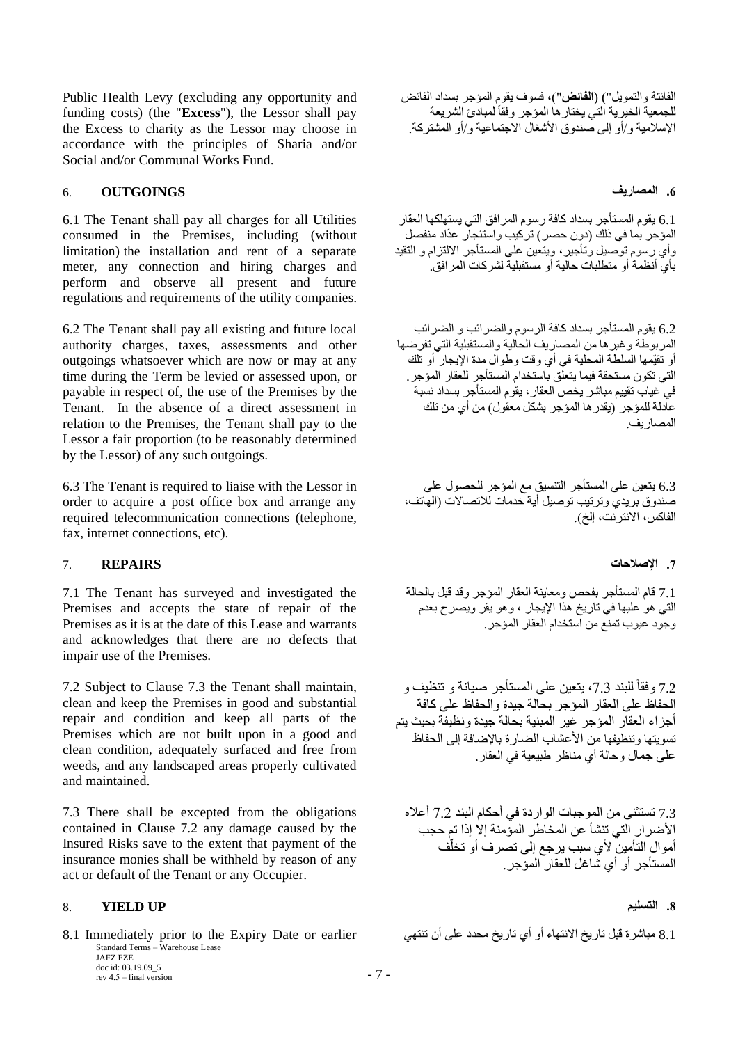Public Health Levy (excluding any opportunity and funding costs) (the "**Excess**"), the Lessor shall pay the Excess to charity as the Lessor may choose in accordance with the principles of Sharia and/or Social and/or Communal Works Fund.

### **.6 المصاريف OUTGOINGS** 6.

6.1 The Tenant shall pay all charges for all Utilities consumed in the Premises, including (without limitation) the installation and rent of a separate meter, any connection and hiring charges and perform and observe all present and future regulations and requirements of the utility companies.

6.2 The Tenant shall pay all existing and future local authority charges, taxes, assessments and other outgoings whatsoever which are now or may at any time during the Term be levied or assessed upon, or payable in respect of, the use of the Premises by the Tenant. In the absence of a direct assessment in relation to the Premises, the Tenant shall pay to the Lessor a fair proportion (to be reasonably determined by the Lessor) of any such outgoings.

6.3 The Tenant is required to liaise with the Lessor in order to acquire a post office box and arrange any required telecommunication connections (telephone, fax, internet connections, etc).

### **.7 اإلصالحات REPAIRS** 7.

7.1 The Tenant has surveyed and investigated the Premises and accepts the state of repair of the Premises as it is at the date of this Lease and warrants and acknowledges that there are no defects that impair use of the Premises.

7.2 Subject to Clause 7.3 the Tenant shall maintain, clean and keep the Premises in good and substantial repair and condition and keep all parts of the Premises which are not built upon in a good and clean condition, adequately surfaced and free from weeds, and any landscaped areas properly cultivated and maintained.

7.3 There shall be excepted from the obligations contained in Clause 7.2 any damage caused by the Insured Risks save to the extent that payment of the insurance monies shall be withheld by reason of any act or default of the Tenant or any Occupier.

### <span id="page-6-0"></span>8. **YIELD UP التسليم .8**

Standard Terms – Warehouse Lease JAFZ FZE 8.1 مباشرة قبل تاريخ الانتهاء أو أي تاريخ محدد على أن تنتهي earlier (8.1 Immediately prior to the Expiry Date or earlier

doc id: 03.19.09\_5  $r = 7 - 7$  –  $\frac{1}{2}$  – final version الفائتة والتمويل") (**الفائض**"(، فسوف يقوم المؤجر بسداد الفائض للجمعية الخيرية التي يختار ها المؤجر وفقاً لمبادئ الشريعة اإلسالمية و/أو إلى صندوق األشغال االجتماعية و/أو المشتركة.

6.1 يقوم المستأجر بسداد كافة رسوم المرافق التي يستهلكها العقار المؤجر بما في ذلك )دون حصر( تركيب واستئجار عدّاد منفصل وأي رسوم توصيل وتأجير، ويتعين على المستأجر االلتزام و التقيد بأي أنظمة أو متطلبات حالية أو مستقبلية لشركات المرافق.

6.2 يقوم المستأجر بسداد كافة الرسوم والضرائب و الضرائب المربوطة وغيرها من المصاريف الحالية والمستقبلية التي تفرضها أو تقيّمها السلطة المحلية في أي وقت وطوال مدة اإليجار أو تلك .<br>التي تكون مستحقة فيما يتعلق باستخدام المستأجر للعقار المؤجر. في غياب تقييم مباشر يخص العقار، يقوم المستأجر بسداد نسبة عادلة للمؤجر (يقدر ها المؤجر بشكل معقول) من أي من تلك المصاريف.

6.3 يتعين على المستأجر التنسيق مع المؤجر للحصول على صندوق بريدي وترتيب توصيل أية خدمات للاتصالات (الهاتف، الفاكس، الانترنت، إلخ).

7.1 قام المستأجر بفحص ومعاينة العقار المؤجر وقد قبل بالحالة التي هو عليها في تاريخ هذا اإليجار ، وهو يقر ويصرح بعدم وجود عيوب تمنع من استخدام العقار المؤجر.

7.2 وفقاً للبند 7.3، يتعين على المستأجر صيانة و تنظيف و الحفاظ على العقار المؤجر بحالة جيدة والحفاظ على كافة أجزاء العقار المؤجر غير المبنية بحالة جيدة ونظيفة بحيث يتم تسويتها وتنظيفها من الأعشاب الضارة بالإضافة إلى الحفاظ على جمال وحالة أي مناظر طبيعية في العقار.

7.3 تستثنى من الموجبات الواردة في أحكام البند 7.2 أعاله الأضرار الّتي تنشأ عن المخاطر المؤمنة إلا إذا تم حجب أموال التأمين لأي سبب يرجع إلى تصرف أو تخلّف المستأجر أو أي شاغل للعقار المؤجر .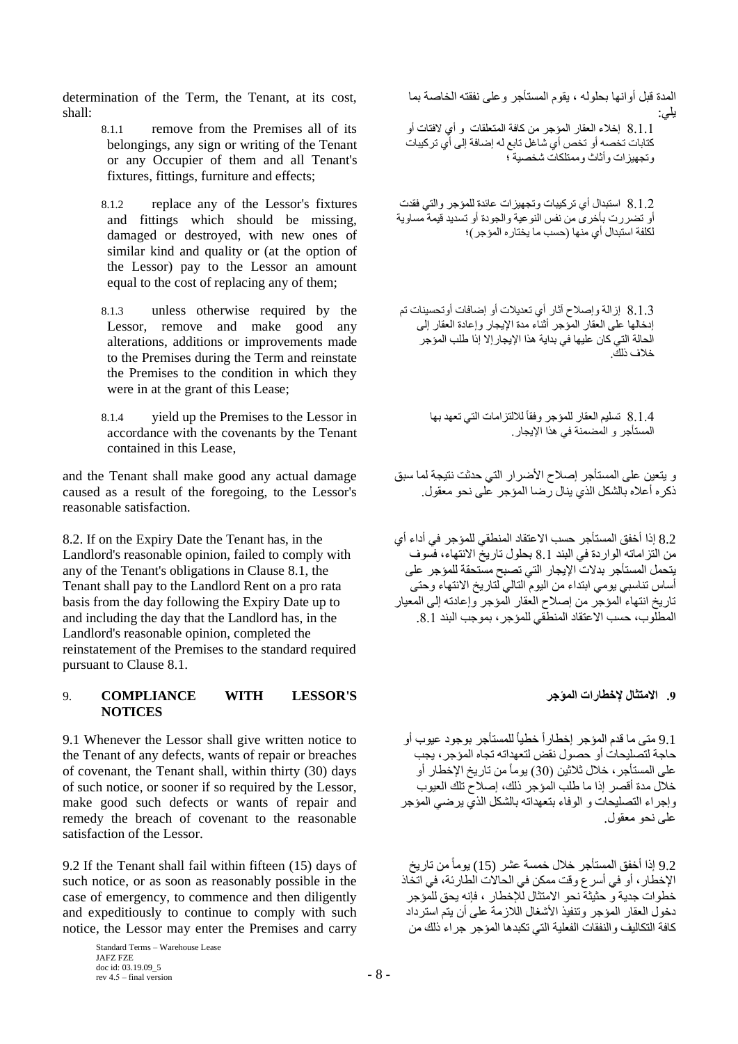determination of the Term, the Tenant, at its cost, shall:

- 8.1.1 remove from the Premises all of its belongings, any sign or writing of the Tenant or any Occupier of them and all Tenant's fixtures, fittings, furniture and effects;
- 8.1.2 replace any of the Lessor's fixtures and fittings which should be missing, damaged or destroyed, with new ones of similar kind and quality or (at the option of the Lessor) pay to the Lessor an amount equal to the cost of replacing any of them;
- 8.1.3 unless otherwise required by the Lessor, remove and make good any alterations, additions or improvements made to the Premises during the Term and reinstate the Premises to the condition in which they were in at the grant of this Lease;
- 8.1.4 yield up the Premises to the Lessor in accordance with the covenants by the Tenant contained in this Lease,

and the Tenant shall make good any actual damage caused as a result of the foregoing, to the Lessor's reasonable satisfaction.

8.2. If on the Expiry Date the Tenant has, in the Landlord's reasonable opinion, failed to comply with any of the Tenant's obligations in Clause 8.1, the Tenant shall pay to the Landlord Rent on a pro rata basis from the day following the Expiry Date up to and including the day that the Landlord has, in the Landlord's reasonable opinion, completed the reinstatement of the Premises to the standard required pursuant to Clause 8.1.

### 9. **COMPLIANCE WITH LESSOR'S المؤجر إلخطارات االمتثال .9 NOTICES**

9.1 Whenever the Lessor shall give written notice to the Tenant of any defects, wants of repair or breaches of covenant, the Tenant shall, within thirty (30) days of such notice, or sooner if so required by the Lessor, make good such defects or wants of repair and remedy the breach of covenant to the reasonable satisfaction of the Lessor.

9.2 If the Tenant shall fail within fifteen (15) days of such notice, or as soon as reasonably possible in the case of emergency, to commence and then diligently and expeditiously to continue to comply with such notice, the Lessor may enter the Premises and carry

8.1.1 إخالء العقار المؤجر من كافة المتعلقات و أي الفتات أو كتابات تخصه أو تخص أي شاغل تابع له إةافة إلى أي تركيبات وتجهيزات وأثاث وممتلكات شخصية ؛ 8.1.2 استبدال أي تركيبات وتجهيزات عائدة للمؤجر والتي فقدت أو تضررت بأخرى من نفس النوعية والجودة أو تسديد قيمة مساوية لكلفة استبدال أي منها (حسب ما يختاره المؤجر)؛

المدة قبل أوانها بحلوله ، يقوم المستأجر وعلى نفقته الخاصة بما

يلي:

8.1.3 إزالة وإصلاح آثار أي تعديلات أو إضافات أوتحسينات تم إدخالها على العقار المؤجر أثناء مدة اإليجار وإعادة العقار إلى الحالة التي كان عليها في بداية هذا اإليجارإال إذا طلب المؤجر خالف ذلك.

> 8.1.4 نسليم العقار للمؤجر وفقاً للالتزامات التي تعهد بها المستأجر و المضمنة في هذا اإليجار.

و يتعين على المستأجر إصلاح الأضرار التي حدثت نتيجة لما سبق ذكر ه أعلاه بالشكل الذي بنال رضيا المؤجر على نحو معقول.

8.2 إذا أخفق المستأجر حسب االعتقاد المنطقي للمؤجر في أداء أي من التزاماته الواردة في البند 8.1 بحلول تاريخ االنتهاء، فسوف يتحمل المستأجر بدالت اإليجار التي تصبح مستحقة للمؤجر على أساس تناسبي يومي ابتداء من اليوم التالي لتاريخ االنتهاء وحتى تاريخ انتهاء المؤجر من إصالح العقار المؤجر وإعادته إلى المعيار المطلوب، حسب االعتقاد المنطقي للمؤجر، بموجب البند .8.1

9.1 متى ما قدم المؤجر إخطاراً خطياً للمستأجر بوجود عيوب أو حاجة لتصليحات أو حصول نقض لتعهداته تجاه المؤجر، يجب على المستأجر، خالل ثالثين )30( يوماًمن تاريخ اإلخطار أو خالل مدة أقصر إذا ما طلب المؤجر ذلك، إصالح تلك العيوب وإجراء التصليحات و الوفاء بتعهداته بالشكل الذي يرةي المؤجر على نحو معقول.

9.2 إذا أخفق المستأجر خالل خمسة عشر (15) يوماًمن تاريخ اإلخطار، أو في أسرع وقت ممكن في الحاالت الطارئة، في اتخاذ خطوات جدية و حثيثة نحو االمتثال لإلخطار ، فإنه يحق للمؤجر دخول العقار المؤجر وتنفيذ الأشغال اللاز مة على أن يتم استر داد كافة التكاليف والنفقات الفعلية التي تكبدها المؤجر جراء ذلك من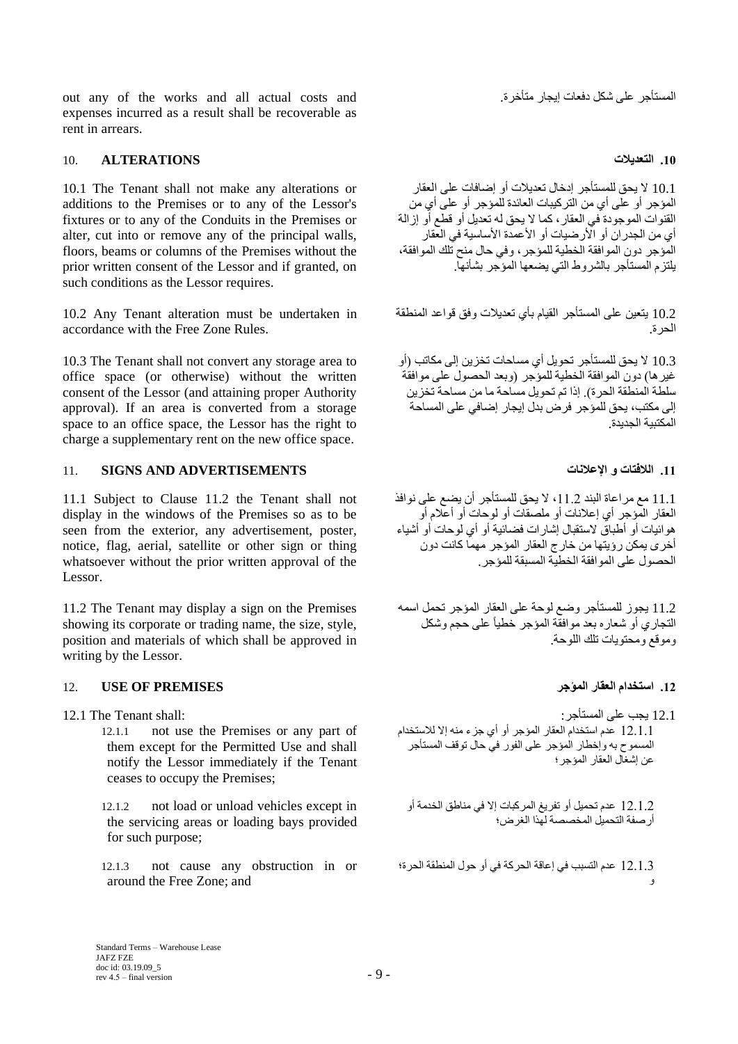out any of the works and all actual costs and . متأجر على شكل دفعات إيجار متأخرة. expenses incurred as a result shall be recoverable as rent in arrears.

### **.10 التعديالت ALTERATIONS** 10.

10.1 The Tenant shall not make any alterations or additions to the Premises or to any of the Lessor's fixtures or to any of the Conduits in the Premises or alter, cut into or remove any of the principal walls, floors, beams or columns of the Premises without the prior written consent of the Lessor and if granted, on such conditions as the Lessor requires.

10.2 Any Tenant alteration must be undertaken in accordance with the Free Zone Rules.

10.3 The Tenant shall not convert any storage area to office space (or otherwise) without the written consent of the Lessor (and attaining proper Authority approval). If an area is converted from a storage space to an office space, the Lessor has the right to charge a supplementary rent on the new office space.

# **.11 الالفتات و اإلعالنات ADVERTISEMENTS AND SIGNS** 11.

11.1 Subject to Clause 11.2 the Tenant shall not display in the windows of the Premises so as to be seen from the exterior, any advertisement, poster, notice, flag, aerial, satellite or other sign or thing whatsoever without the prior written approval of the Lessor.

11.2 The Tenant may display a sign on the Premises showing its corporate or trading name, the size, style, position and materials of which shall be approved in writing by the Lessor.

# **.12 استخدام العقار المؤجر PREMISES OF USE** 12.

- - 12.1.1 not use the Premises or any part of them except for the Permitted Use and shall notify the Lessor immediately if the Tenant ceases to occupy the Premises;
	- 12.1.2 not load or unload vehicles except in the servicing areas or loading bays provided for such purpose;

12.1.3 not cause any obstruction in or around the Free Zone; and

10.1 ال يحق للمستأجر إدخال تعديالت أو إةافات على العقار المؤجر أو على أي من التركيبات العائدة للمؤجر أو على أي من القنوات الموجودة في العقار، كما ال يحق له تعديل أو قطع أو إزالة أي من الجدران أو الأرضيات أو الأعمدة الأساسية في العقار المؤجر دون الموافقة الخطية للمؤجر، وفي حال منح تلك الموافقة، يلتزم المستأجر بالشروط التي يضعها المؤجر بشأنها.

10.2 يتعين على المستأجر القيام بأي تعديالت وفق قواعد المنطقة الحرة.

10.3 ال يحق للمستأجر تحويل أي مساحات تخزين إلى مكاتب )أو غير ها) دون الموافقة الخطية للمؤجر (وبعد الحصول على موافقة سلطة المنطقة الحرة(. إذا تم تحويل مساحة ما من مساحة تخزين إلى مكتب، يحق للمؤجر فرض بدل إيجار إضافي على المساحة المكتبية الجديدة.

11.1 مع مراعاة البند 11.2 ، لا يحق للمستأجر أن يضع على نوافذ العقار المؤجر أي إعالنات أو ملصقات أو لوحات أو أعالم أو هوائيات أو أطباق الستقبال إشارات فضائية أو أي لوحات أو أشياء أخرى يمكن رؤيتها من خارج العقار المؤجر مهما كانت دون الحصول على الموافقة الخطية المسبقة للمؤجر.

11.2 يجوز للمستأجر وضع لوحة على العقار المؤجر تحمل اسمه التجاري أو شعاره بعد موافقة المؤجر خطياً على حجم وشكل وموقع ومحتويات تلك اللوحة.

12.1 يجب على المستأجر: :shall Tenant The 12.1 12.1.1 عدم استخدام العقار المؤجر أو أي جزء منه إال لالستخدام المسموح به وإخطار المؤجر على الفور في حال توقف المستأجر عن إشغال العقار المؤجر؛

> 12.1.2 عدم تحميل أو تفريغ المركبات إال في مناطق الخدمة أو أرصفة التحميل المخصصة لهذا الغرض؛

12.1.3 عدم التسبب في إعاقة الحركة في أو حول المنطقة الحرة؛ و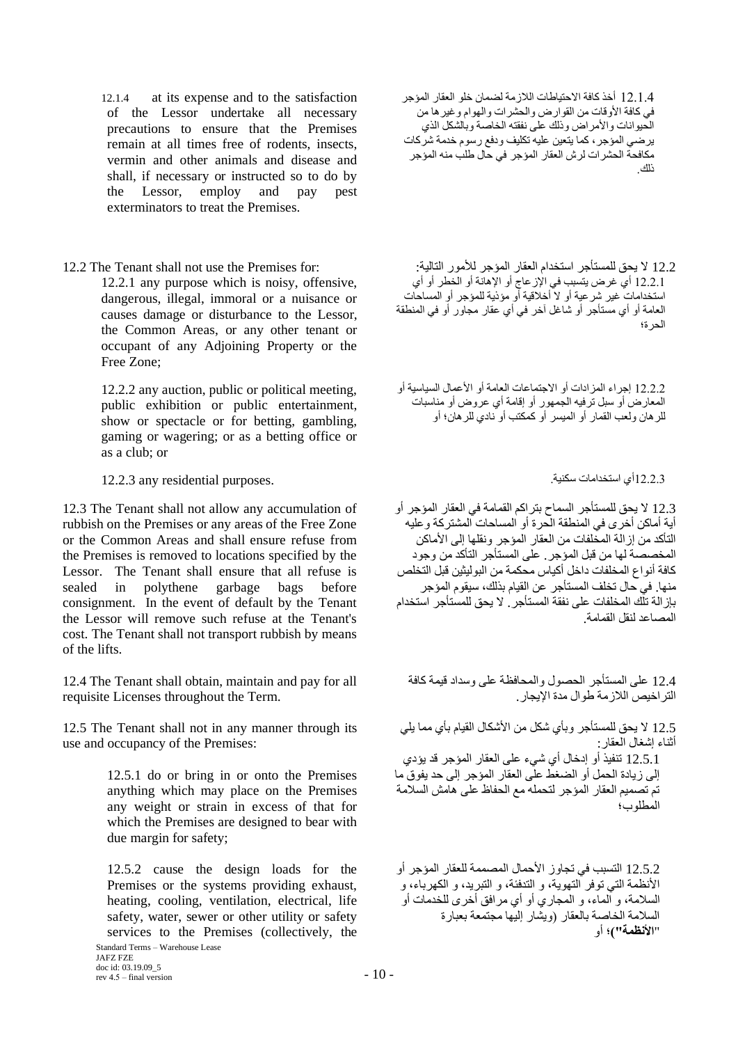12.1.4 at its expense and to the satisfaction of the Lessor undertake all necessary precautions to ensure that the Premises remain at all times free of rodents, insects, vermin and other animals and disease and shall, if necessary or instructed so to do by the Lessor, employ and pay pest exterminators to treat the Premises.

12.2.1 any purpose which is noisy, offensive, dangerous, illegal, immoral or a nuisance or causes damage or disturbance to the Lessor, the Common Areas, or any other tenant or occupant of any Adjoining Property or the Free Zone;

12.2.2 any auction, public or political meeting, public exhibition or public entertainment, show or spectacle or for betting, gambling, gaming or wagering; or as a betting office or as a club; or

12.2.3أي استخدامات سكنية. .purposes residential any 12.2.3

12.3 The Tenant shall not allow any accumulation of rubbish on the Premises or any areas of the Free Zone or the Common Areas and shall ensure refuse from the Premises is removed to locations specified by the Lessor. The Tenant shall ensure that all refuse is sealed in polythene garbage bags before consignment. In the event of default by the Tenant the Lessor will remove such refuse at the Tenant's cost. The Tenant shall not transport rubbish by means of the lifts.

12.4 The Tenant shall obtain, maintain and pay for all requisite Licenses throughout the Term.

12.5 The Tenant shall not in any manner through its use and occupancy of the Premises:

> 12.5.1 do or bring in or onto the Premises anything which may place on the Premises any weight or strain in excess of that for which the Premises are designed to bear with due margin for safety;

> 12.5.2 cause the design loads for the Premises or the systems providing exhaust, heating, cooling, ventilation, electrical, life safety, water, sewer or other utility or safety services to the Premises (collectively, the

12.1.4 أخذ كافة االحتياطات الالزمة لضمان خلو العقار المؤجر في كافة الأو قات من القوار ض والحشر ات والبهوام و غير ها من الحيوانات والأمراض وذلك على نفقته الخاصة وبالشكل الذي يرةي المؤجر، كما يتعين عليه تكليف ودفع رسوم خدمة شركات مكافحة الحشرات لرش العقار المؤجر في حال طلب منه المؤجر ذلك.

12.2 I'le يحق للمستأجر استخدام العقار المؤجر للأمور التالية: : :for Premises for 12.2 The Tenant shall not use the Premises for 12.2.1 أي غرض يتسبب في اإلزعاج أو اإلهانة أو الخطر أو أي استخدامات غير شرعية أو ال أخالقية أو مؤذية للمؤجر أو المساحات العامة أو أي مستأجر أو شاغل آخر في أي عقار مجاور أو في المنطقة الحرة؛

> 12.2.2 إجراء المزادات أو االجتماعات العامة أو األعمال السياسية أو المعارض أو سبل ترفيه الجمهور أو إقامة أي عروض أو مناسبات للرهان ولعب القمار أو الميسر أو كمكتب أو نادي للرهان؛ أو

12.3 ال يحق للمستأجر السماح بتراكم القمامة في العقار المؤجر أو أية أماكن أخرى في المنطقة الحرة أو المساحات المشتركة وعليه التأكد من إزالة المخلفات من العقار المؤجر ونقلها إلى األماكن المخصصة لها من قبل المؤجر. على المستأجر التأكد من وجود كافة أنواع المخلفات داخل أكياس محكمة من البوليثين قبل التخلص منها. في حال تخلف المستأجر عن القيام بذلك، سيقوم المؤجر بإزالة تلك المخلفات على نفقة المستأجر. ال يحق للمستأجر استخدام المصاعد لنقل القمامة.

12.4 على المستأجر الحصول والمحافظة على وسداد قيمة كافة التراخيص الالزمة طوال مدة اإليجار.

12.5 ال يحق للمستأجر وبأي شكل من األشكال القيام بأي مما يلي أثناء إشغال العقار: 12.5.1 تنفيذ أو إدخال أي شيء على العقار المؤجر قد يؤدي إلى زيادة الحمل أو الضغط على العقار المؤجر إلى حد يفوق ما

تم تصميم العقار المؤجر لتحمله مع الحفاظ على هامش السالمة المطلوب؛

12.5.2 التسبب في تجاوز األحمال المصممة للعقار المؤجر أو األنظمة التي توفر التهوية، و التدفئة، و التبريد، و الكهرباء، و السالمة، و الماء، و المجاري أو أي مرافق أخرى للخدمات أو السالمة الخاصة بالعقار )ويشار إليها مجتمعة بعبارة "**األنظمة"(**؛ أو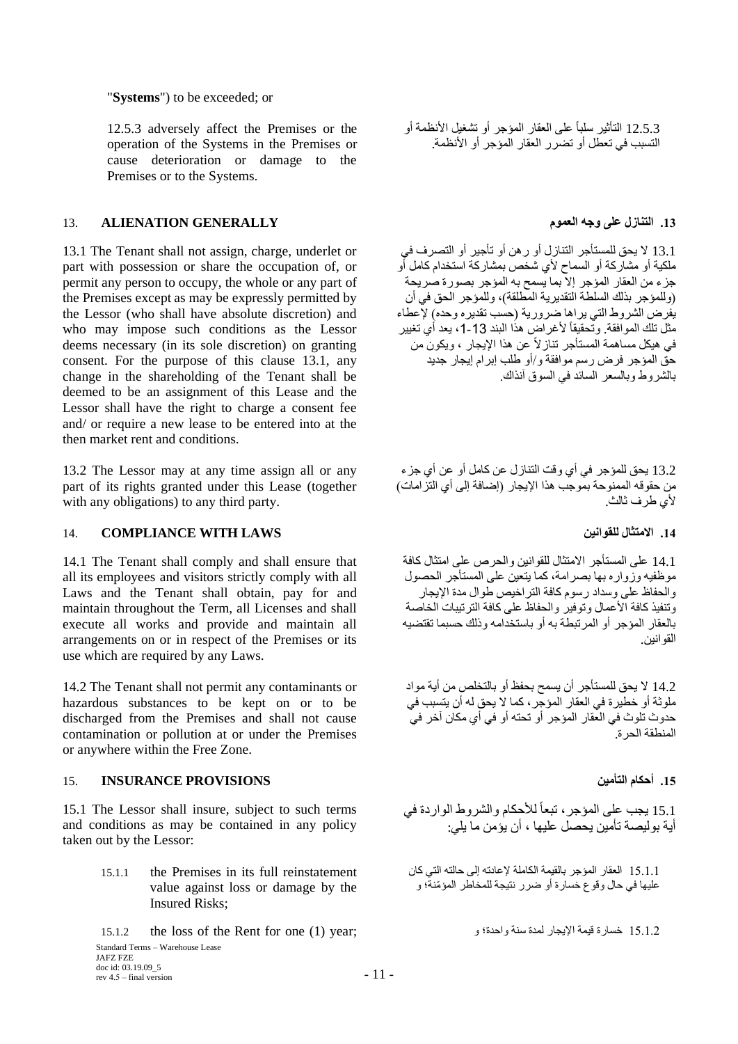"**Systems**") to be exceeded; or

12.5.3 adversely affect the Premises or the operation of the Systems in the Premises or cause deterioration or damage to the Premises or to the Systems.

# **.13 التنازل على وجه العموم GENERALLY ALIENATION** 13.

13.1 The Tenant shall not assign, charge, underlet or part with possession or share the occupation of, or permit any person to occupy, the whole or any part of the Premises except as may be expressly permitted by the Lessor (who shall have absolute discretion) and who may impose such conditions as the Lessor deems necessary (in its sole discretion) on granting consent. For the purpose of this clause 13.1, any change in the shareholding of the Tenant shall be deemed to be an assignment of this Lease and the Lessor shall have the right to charge a consent fee and/ or require a new lease to be entered into at the then market rent and conditions.

13.2 The Lessor may at any time assign all or any part of its rights granted under this Lease (together with any obligations) to any third party.

# 14. **COMPLIANCE WITH LAWS للقوانين االمتثال .14**

14.1 The Tenant shall comply and shall ensure that all its employees and visitors strictly comply with all Laws and the Tenant shall obtain, pay for and maintain throughout the Term, all Licenses and shall execute all works and provide and maintain all arrangements on or in respect of the Premises or its use which are required by any Laws.

14.2 The Tenant shall not permit any contaminants or hazardous substances to be kept on or to be discharged from the Premises and shall not cause contamination or pollution at or under the Premises or anywhere within the Free Zone.

# **.15 أحكام التأمين PROVISIONS INSURANCE** 15.

15.1 The Lessor shall insure, subject to such terms and conditions as may be contained in any policy taken out by the Lessor:

- 15.1.1 the Premises in its full reinstatement value against loss or damage by the Insured Risks;
- Standard Terms Warehouse Lease JAFZ FZE 15.1.2 the loss of the Rent for one (1) year; و واحدة؛ سنة لمدة اإليجار قيمة خسارة 15.1.2

doc id: 03.19.09\_5 rev  $4.5 -$  final version  $-11 -$ 

12.5.3 التأثير سلباً على العقار المؤجر أو تشغيل األنظمة أو التسبب في تعطل أو تضرر العقار المؤجر أو األنظمة.

13.1 ال يحق للمستأجر التنازل أو رهن أو تأجير أو التصرف في ملكية أو مشاركة أو السماح ألي شخص بمشاركة استخدام كامل أو جزء من العقار المؤجر إال بما يسمح به المؤجر بصورة صريحة (وللمؤجر بذلك السلطة التقديرية المطلقة)، وللمؤجر الحق في أن يفرض الشروط التي يراها ضرورية (حسب تقديره وحده) لإعطاء مثل تلك الموافقة. وتحقيقاً لأغراض هذا البند 13-1، يعد أي تغيير في هيكل مساهمة المستأجر تنازالً عن هذا اإليجار ، ويكون من حق المؤجر فرض رسم موافقة و/أو طلب إبرام إيجار جديد بالشروط وبالسعر السائد في السوق آنذاك.

13.2 يحق للمؤجر في أي وقت التنازل عن كامل أو عن أي جزء من حقوقه الممنوحة بموجب هذا الإيجار (إضافة إلى أي التزامات) ألي طرف ثالث.

14.1 على المستأجر االمتثال للقوانين والحرص على امتثال كافة موظفيه وزواره بها بصرامة، كما يتعين على المستأجر الحصول والحفاظ على وسداد رسوم كافة التراخيص طوال مدة اإليجار وتنفيذ كافة الأعمال وتوفير ۖ والحفاظ على كافة التر تبيات الخاصة بالعقار المؤجر أو المرتبطة به أو باستخدامه وذلك حسبما تقتضيه القوانين.

14.2 ال يحق للمستأجر أن يسمح بحفظ أو بالتخلص من أية مواد ملوثة أو خطيرة في العقار المؤجر، كما ال يحق له أن يتسبب في حدوث تلوث في العقار المؤجر أو تحته أو في أي مكان آخر في المنطقة الحرة.

15.1 يجب على المؤجر، تبعاً للأحكام والشروط الواردة في أية بوليصة تأمين يحصل عليها ، أن يؤمن ما يلي:

15.1.1 العقار المؤجر بالقيمة الكاملة إلعادته إلى حالته التي كان عليها في حال وقوع خسارة أو ةرر نتيجة للمخاطر المؤ ّمنة؛ و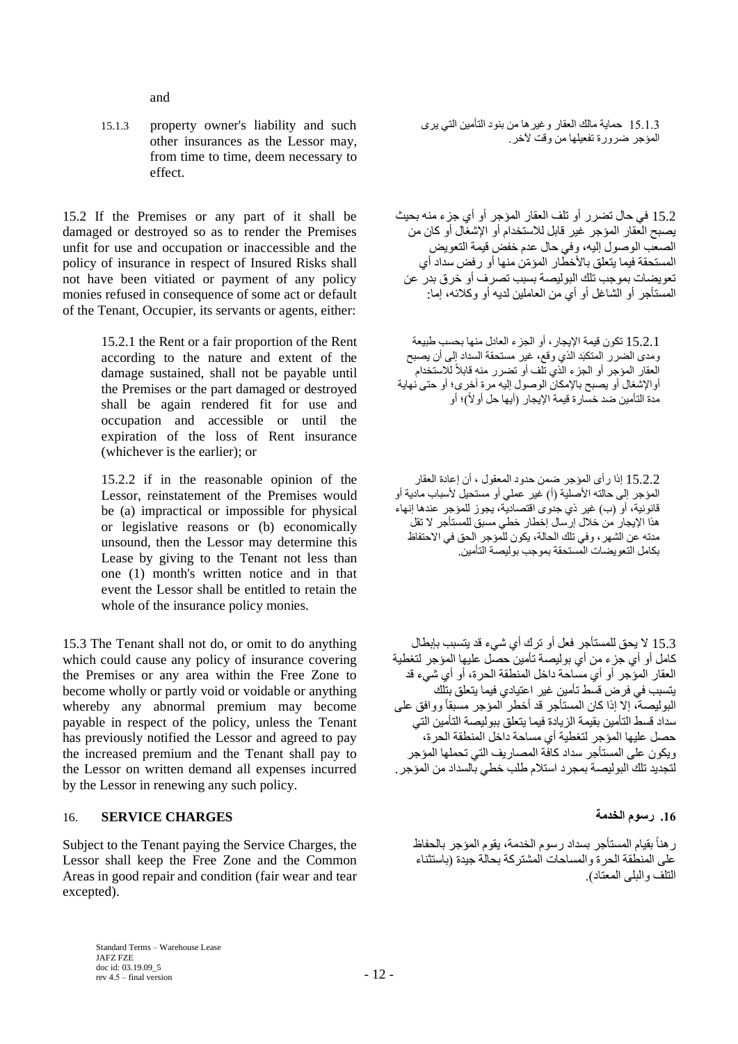and

15.1.3 property owner's liability and such other insurances as the Lessor may, from time to time, deem necessary to effect.

15.2 If the Premises or any part of it shall be damaged or destroyed so as to render the Premises unfit for use and occupation or inaccessible and the policy of insurance in respect of Insured Risks shall not have been vitiated or payment of any policy monies refused in consequence of some act or default of the Tenant, Occupier, its servants or agents, either:

> 15.2.1 the Rent or a fair proportion of the Rent according to the nature and extent of the damage sustained, shall not be payable until the Premises or the part damaged or destroyed shall be again rendered fit for use and occupation and accessible or until the expiration of the loss of Rent insurance (whichever is the earlier); or

> 15.2.2 if in the reasonable opinion of the Lessor, reinstatement of the Premises would be (a) impractical or impossible for physical or legislative reasons or (b) economically unsound, then the Lessor may determine this Lease by giving to the Tenant not less than one (1) month's written notice and in that event the Lessor shall be entitled to retain the whole of the insurance policy monies.

15.3 The Tenant shall not do, or omit to do anything which could cause any policy of insurance covering the Premises or any area within the Free Zone to become wholly or partly void or voidable or anything whereby any abnormal premium may become payable in respect of the policy, unless the Tenant has previously notified the Lessor and agreed to pay the increased premium and the Tenant shall pay to the Lessor on written demand all expenses incurred by the Lessor in renewing any such policy.

# **.16 رسوم الخدمة CHARGES SERVICE** 16.

Subject to the Tenant paying the Service Charges, the Lessor shall keep the Free Zone and the Common Areas in good repair and condition (fair wear and tear excepted).

15.1.3 حماية مالك العقار وغيرها من بنود التأمين التي يرى المؤجر ضرورة تفعيلها من وقت لأخر.

15.2 في حال تضرر أو تلف العقار المؤجر أو أي جزء منه بحيث يصبح العقار المؤجر غير قابل لالستخدام أو اإلشغال أو كان من الصعب الوصول إليه، وفي حال عدم خفض قيمة التعويض المستحقة فيما يتعلق بالأخطار المؤمّن منها أو رفض سداد أي تعويضات بموجب تلك البوليصة بسبب تصرف أو خرق بدر عن المستأجر أو الشاغل أو أي من العاملين لديه أو وكالئه، إما:

15.2.1 تكون قيمة اإليجار، أو الجزء العادل منها بحسب طبيعة ومدى الضرر المتكبَد الذي وقع، غير مستحقة السداد إلى أن يصبح العقار المؤجر أو الجزء الّذي تلّف أو تضرر منه قابلأ للاستخدام ً أواإلشغال أو يصبح باإلمكان الوصول إليه مرة أخرى؛ أو حتى نهاية مدة التأمين ضد خسار ة قيمة الإيجار (أيها حل أو لاً)؛ أو

15.2.2 إذا رأى المؤجر ةمن حدود المعقول ، أن إعادة العقار المؤجر إلى حالته الأصلية (أ) غير عملي أو مستحيل لأسباب مادية أو قانونية، أو )ب( غير ذي جدوى اقتصادية، يجوز للمؤجر عندها إنهاء هذا اإليجار من خالل إرسال إخطار خطي مسبق للمستأجر ال تقل مدته عن الشهر، وفي تلك الحالة، يكون للمؤجر الحق في االحتفاظ بكامل التعويضات المستحقة بموجب بوليصة التأمين.

15.3 ال يحق للمستأجر فعل أو ترك أي شيء قد يتسبب بإبطال كامل أو أي جزء من أي بوليصة تأمين حصل عليها المؤجر لتغطية العقار المؤجر أو أي مساحة داخل المنطقة الحرة، أو أي شيء قد يتسبب في فرض قسط تأمين غير اعتيادي فيما يتعلق بتلك البوليصة، إال إذا كان المستأجر قد أخطر المؤجر مسبقاً ووافق على سداد قسط التأمين بقيمة الزيادة فيما يتعلق ببوليصة التأمين التي حصل عليها المؤجر لتغطية أي مساحة داخل المنطقة الحرة، ويكون على المستأجر سداد كافة المصاريف التي تحملها المؤجر لتجديد تلك البوليصة بمجرد استالم طلب خطي بالسداد من المؤجر.

رهناً بقيام المستأجر بسداد رسوم الخدمة، يقوم المؤجر بالحفاظ على المنطقة الحرة والمساحات المشتركة بحالة جيدة )باستثناء التلف والبلى المعتاد(.

Standard Terms – Warehouse Lease JAFZ FZE doc id: 03.19.09\_5 rev  $4.5 -$  final version  $-12 -$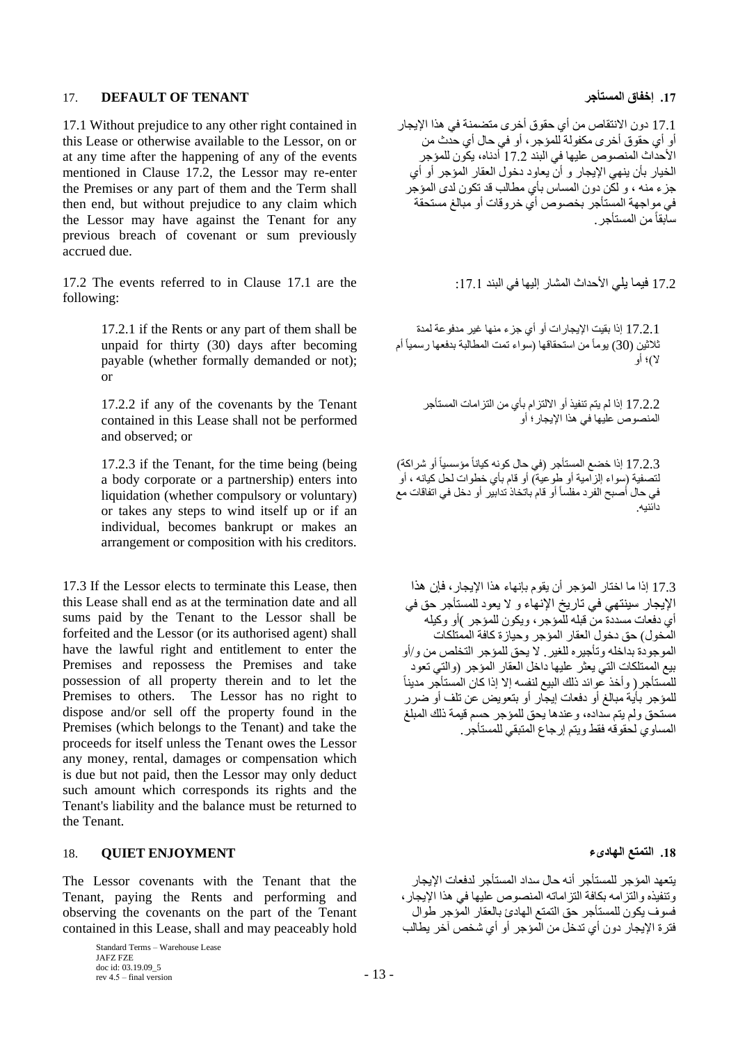# 17. **DEFAULT OF TENANT المستأجر إخفاق .17**

17.1 Without prejudice to any other right contained in this Lease or otherwise available to the Lessor, on or at any time after the happening of any of the events mentioned in Clause 17.2, the Lessor may re-enter the Premises or any part of them and the Term shall then end, but without prejudice to any claim which the Lessor may have against the Tenant for any previous breach of covenant or sum previously accrued due.

17.2 The events referred to in Clause 17.1 are the :17.1 البند في إليها المشار األحداث يلي فيما 17.2 following:

17.2.1 if the Rents or any part of them shall be unpaid for thirty (30) days after becoming payable (whether formally demanded or not); or

17.2.2 if any of the covenants by the Tenant contained in this Lease shall not be performed and observed; or

17.2.3 if the Tenant, for the time being (being a body corporate or a partnership) enters into liquidation (whether compulsory or voluntary) or takes any steps to wind itself up or if an individual, becomes bankrupt or makes an arrangement or composition with his creditors.

17.3 If the Lessor elects to terminate this Lease, then this Lease shall end as at the termination date and all sums paid by the Tenant to the Lessor shall be forfeited and the Lessor (or its authorised agent) shall have the lawful right and entitlement to enter the Premises and repossess the Premises and take possession of all property therein and to let the Premises to others. The Lessor has no right to dispose and/or sell off the property found in the Premises (which belongs to the Tenant) and take the proceeds for itself unless the Tenant owes the Lessor any money, rental, damages or compensation which is due but not paid, then the Lessor may only deduct such amount which corresponds its rights and the Tenant's liability and the balance must be returned to the Tenant.

### **.18 التمتع الهادىء ENJOYMENT QUIET** 18.

The Lessor covenants with the Tenant that the Tenant, paying the Rents and performing and observing the covenants on the part of the Tenant contained in this Lease, shall and may peaceably hold

> Standard Terms – Warehouse Lease JAFZ FZE doc id: 03.19.09\_5 rev  $4.5 -$  final version  $-13 -$

17.1 دون االنتقاص من أي حقوق أخرى متضمنة في هذا اإليجار أو أي حقوق أخرى مكفولة للمؤجر، أو في حال أي حدث من األحداث المنصوص عليها في البند 17.2 أدناه، يكون للمؤجر الخيار بأن ينهي اإليجار و أن يعاود دخول العقار المؤجر أو أي جزء منه ، و لكن دون المساس بأي مطالب قد تكون لدى المؤجر في مواجهة المستأجر بخصوص أي خروقات أو مبالغ مستحقة سابقاًمن المستأجر.

17.2.1 إذا بقيت اإليجارات أو أي جزء منها غير مدفوعة لمدة ثلاثين (30) يوماً من استحقاقها (سواء تمت المطالبة بدفعها رسمياً أم ال(؛ أو

> 17.2.2 إذا لم يتم تنفيذ أو االلتزام بأي من التزامات المستأجر المنصوص عليها في هذا اإليجار؛ أو

17.2.3 إذا خضع المستأجر (في حال كونه كياناً مؤسسياً أو شراكة) لتصفية (سواء إلزامية أو طوعية) أو قام بأي خطوات لحل كيانه ، أو في حال أصبح الفر دمفلساً أو قام باتخاذ تدابير أو دخل في اتفاقات مع دائنيه.

17.3 إذا ما اختار المؤجر أن يقوم بإنهاء هذا اإليجار، فإن هذا اإليجار سينتهي في تاريخ اإلنهاء و ال يعود للمستأجر حق في أي دفعات مسددة من قبله للمؤجر، ويكون للمؤجر )أو وكيله المُخول) حق دخول العقار المؤجر وحيازة كافة الممتلكات الموجودة بداخله وتأجيره للغير. ال يحق للمؤجر التخلص من و/أو بيع الممتلكات التي يعثر عليها داخل العقار المؤجر )والتي تعود للمستأجر ( وأخذ عوائد ذلك البيع لنفسه إلا إذا كان المستأجر مديناً للمؤجر بأية مبالغ أو دفعات إيجار أو بتعويض عن تلف أو ضرر مستحق ولم يتم سداده، وعندها يحق للمؤجر حسم قيمة ذلك المبلغ المساوي لحقوقه فقط ويتم إرجاع المتبقي للمستأجر.

يتعهد المؤجر للمستأجر أنه حال سداد المستأجر لدفعات اإليجار وتنفيذه والتزامه بكافة التزاماته المنصوص عليها في هذا اإليجار، فسوف يكون للمستأجر حق التمتع الهادئ بالعقار المؤجر طوال فترة اإليجار دون أي تدخل من المؤجر أو أي شخص آخر يطالب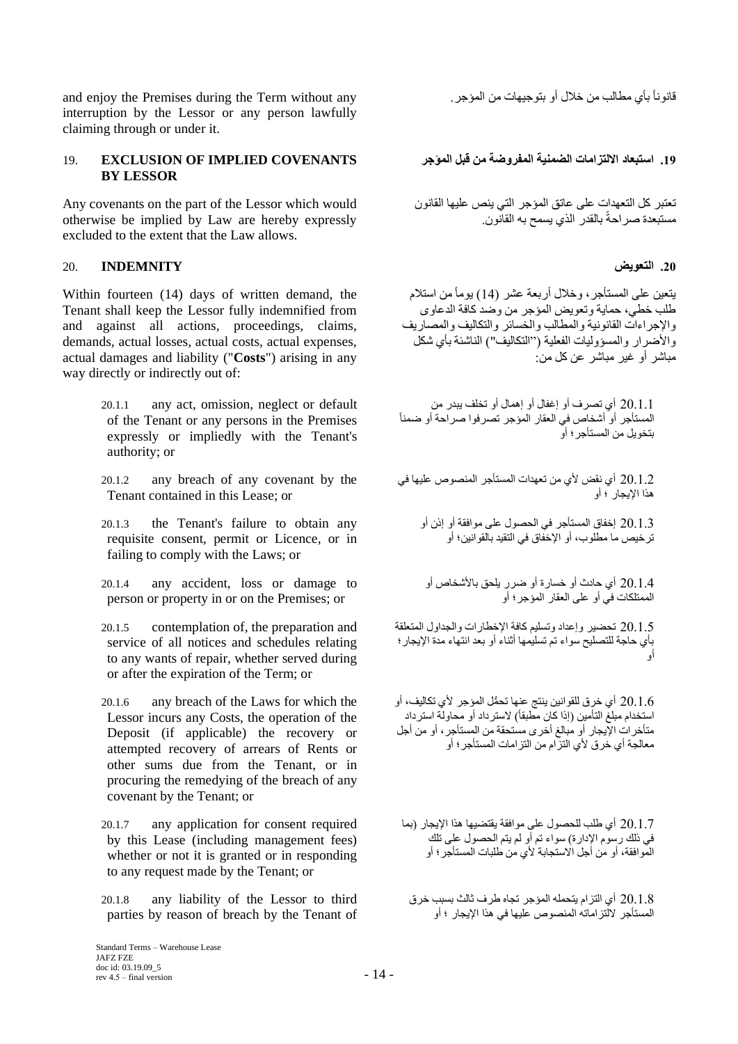قانوناً بأي مطالب من خالل أو بتوجيهات من المؤجر. any without Term the during Premises the enjoy and interruption by the Lessor or any person lawfully claiming through or under it.

# **.19 استبعاد االلتزامات الضمنية المفروضة من قبل المؤجر COVENANTS IMPLIED OF EXCLUSION** 19. **BY LESSOR**

Any covenants on the part of the Lessor which would otherwise be implied by Law are hereby expressly excluded to the extent that the Law allows.

# **.20 التعويض INDEMNITY** 20.

Within fourteen (14) days of written demand, the Tenant shall keep the Lessor fully indemnified from and against all actions, proceedings, claims, demands, actual losses, actual costs, actual expenses, actual damages and liability ("**Costs**") arising in any way directly or indirectly out of:

- 20.1.1 any act, omission, neglect or default of the Tenant or any persons in the Premises expressly or impliedly with the Tenant's authority; or
- 20.1.2 any breach of any covenant by the Tenant contained in this Lease; or
- 20.1.3 the Tenant's failure to obtain any requisite consent, permit or Licence, or in failing to comply with the Laws; or
- 20.1.4 any accident, loss or damage to person or property in or on the Premises; or
- 20.1.5 contemplation of, the preparation and service of all notices and schedules relating to any wants of repair, whether served during or after the expiration of the Term; or
- 20.1.6 any breach of the Laws for which the Lessor incurs any Costs, the operation of the Deposit (if applicable) the recovery or attempted recovery of arrears of Rents or other sums due from the Tenant, or in procuring the remedying of the breach of any covenant by the Tenant; or
- 20.1.7 any application for consent required by this Lease (including management fees) whether or not it is granted or in responding to any request made by the Tenant; or
- 20.1.8 any liability of the Lessor to third parties by reason of breach by the Tenant of

تعتبر كل التعهدات على عاتق المؤجر التي ينص عليها القانون مستبعدة صراحةً بالقدر الذي يسمح به القانون.

يتعين على المستأجر، وخالل أربعة عشر )14( يوماًمن استالم طلب خطي، حماية وتعويض المؤجر من وصد كافة الدعاوى واإلجراءات القانونية والمطالب والخسائر والتكاليف والمصاريف والأضرار والمسؤوليات الفعلية (''النكاليف'') الناشئة بأي شكل مباشر أو غير مباشر عن كل من:

20.1.1 أي تصرف أو إغفال أو إهمال أو تخلف يبدر من المستأجر أو أشخاص في العقار المؤجر تصرفوا صراحة أو ضمناً بتخويل من المستأجر؛ أو

20.1.2 أي نقض ألي من تعهدات المستأجر المنصوص عليها في هذا اإليجار ؛ أو

20.1.3 إخفاق المستأجر في الحصول على موافقة أو إذن أو ترخيص ما مطلوب، أو اإلخفاق في التقيد بالقوانين؛ أو

20.1.4 أي حادث أو خسارة أو ةرر يلحق باألشخاص أو الممتلكات في أو على العقار المؤجر؛ أو

20.1.5 تحضير وإعداد وتسليم كافة اإلخطارات والجداول المتعلقة بأي حاجة للتصليح سواء تم تسليمها أثناء أو بعد انتهاء مدة اإليجار؛ أو

20.1.6 أي خرق للقوانين ينتج عنها تح ُّمل المؤجر ألي تكاليف، أو استخدام مبلغ التأمين (إذا كان مطبقاً) لاسترداد أو محاولة استرداد متأخرات اإليجار أو مبالغ أخرى مستحقة من المستأجر، أو من أجل معالجة أي خرق ألي التزام من التزاما ت المستأجر؛ أو

20.1.7 أي طلب للحصول على موافقة يقتضيها هذا اإليجار )بما في ذلك رسوم اإلدارة( سواء تم أو لم يتم الحصول على تلك الموافقة، أو من أجل االستجابة ألي من طلبات المستأجر؛ أو

20.1.8 أي التزام يتحمله المؤجر تجاه طرف ثالث بسبب خرق المستأجر اللتزاماته المنصوص عليها في هذا اإليجار ؛ أو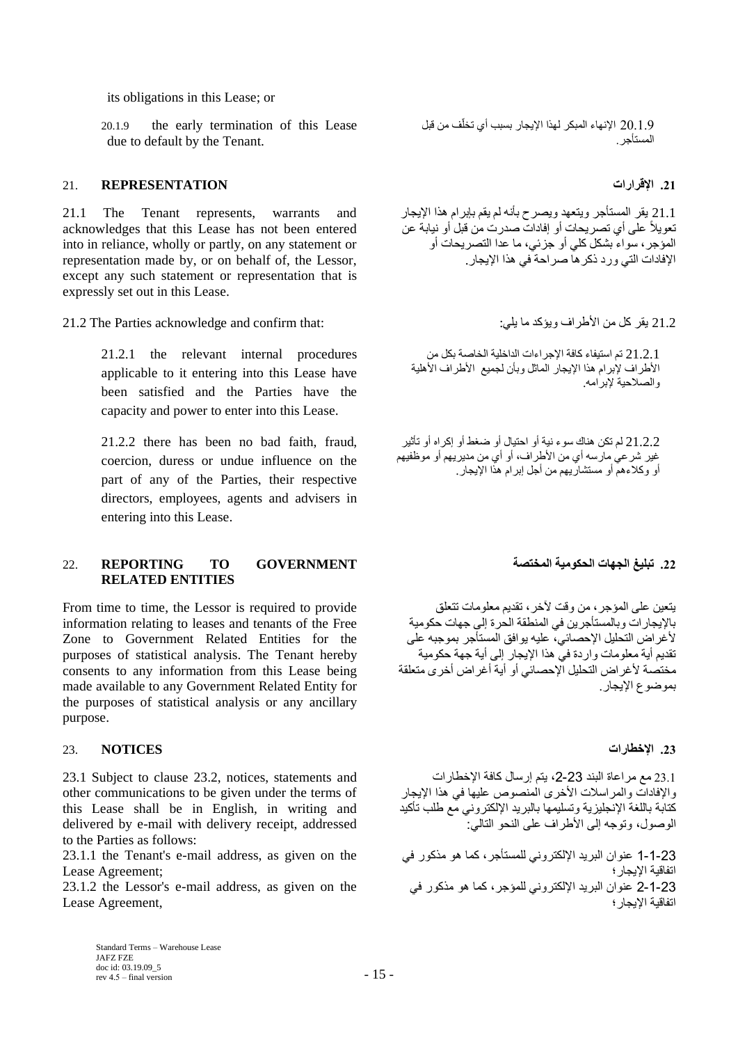its obligations in this Lease; or

20.1.9 the early termination of this Lease due to default by the Tenant.

### **.21 اإلقرارات REPRESENTATION** 21.

21.1 The Tenant represents, warrants and acknowledges that this Lease has not been entered into in reliance, wholly or partly, on any statement or representation made by, or on behalf of, the Lessor, except any such statement or representation that is expressly set out in this Lease.

21.2 يقر كل من الأطراف ويؤكد ما يلي: : :the Parties acknowledge and confirm that:

21.2.1 the relevant internal procedures applicable to it entering into this Lease have been satisfied and the Parties have the capacity and power to enter into this Lease.

21.2.2 there has been no bad faith, fraud, coercion, duress or undue influence on the part of any of the Parties, their respective directors, employees, agents and advisers in entering into this Lease.

### **.22 تبليغ الجهات الحكومية المختصة GOVERNMENT TO REPORTING** 22. **RELATED ENTITIES**

From time to time, the Lessor is required to provide information relating to leases and tenants of the Free Zone to Government Related Entities for the purposes of statistical analysis. The Tenant hereby consents to any information from this Lease being made available to any Government Related Entity for the purposes of statistical analysis or any ancillary purpose.

### **.23 اإلخطارات NOTICES** 23.

23.1 Subject to clause 23.2, notices, statements and other communications to be given under the terms of this Lease shall be in English, in writing and delivered by e-mail with delivery receipt, addressed to the Parties as follows:

23.1.1 the Tenant's e-mail address, as given on the Lease Agreement;

23.1.2 the Lessor's e-mail address, as given on the Lease Agreement,

20.1.9 الإنهاء المبكر لهذا الإيجار بسبب أي تخلّف من قبل المستأجر.

21.1 يقر المستأجر ويتعهد ويصرح بأنه لم يقم بإبرام هذا اإليجار تعويالً على أي تصريحات أو إفادات صدرت من قبل أو نيابة عن المؤجر، سواء بشكل كلي أو جزئي، ما عدا التصريحات أو اإلفادات التي ورد ذكرها صراحة في هذا اإليجار.

21.2.1 تم استيفاء كافة اإلجراءات الداخلية الخاصة بكل من الأطراف لإبرام هذا الإيجار الماثل وبأن لجميع الأطراف الأهلية والصالحية إلبرامه.

21.2.2 لم تكن هناك سوء نية أو احتيال أو ةغط أو إكراه أو تأثير غير شرعي مارسه أي من األطراف، أو أي من مديريهم أو موظفيهم أو وكالءهم أو مستشاريهم من أجل إبرام هذا اإليجار.

يتعين على المؤجر، من وقت آلخر، تقديم معلومات تتعلق باإليجارات وبالمستأجرين في المنطقة الحرة إلى جهات حكومية ألغراض التحليل اإلحصائي، عليه يوافق المستأجر بموجبه على تقديم أية معلومات واردة في هذا اإليجار إلى أية جهة حكومية مختصة ألغراض التحليل اإلحصائي أو أية أغراض أخرى متعلقة بموضوع الإبجار

23.1 مع مراعاة البند ،2-23 يتم إرسال كافة اإلخطارات واإلفادات والمراسالت األخرى المنصوص عليها في هذا اإليجار كتابة باللغة اإلنجليزية وتسليمها بالبريد اإللكتروني مع طلب تأكيد الوصول، وتوجه إلى الأطراف على النحو التالي:

1-1-23 عنوان البريد اإللكتروني للمستأجر، كما هو مذكور في اتفاقية اإليجار؛ 2-1-23 عنوان البريد اإللكتروني للمؤجر، كما هو مذكور في اتفاقية اإليجار؛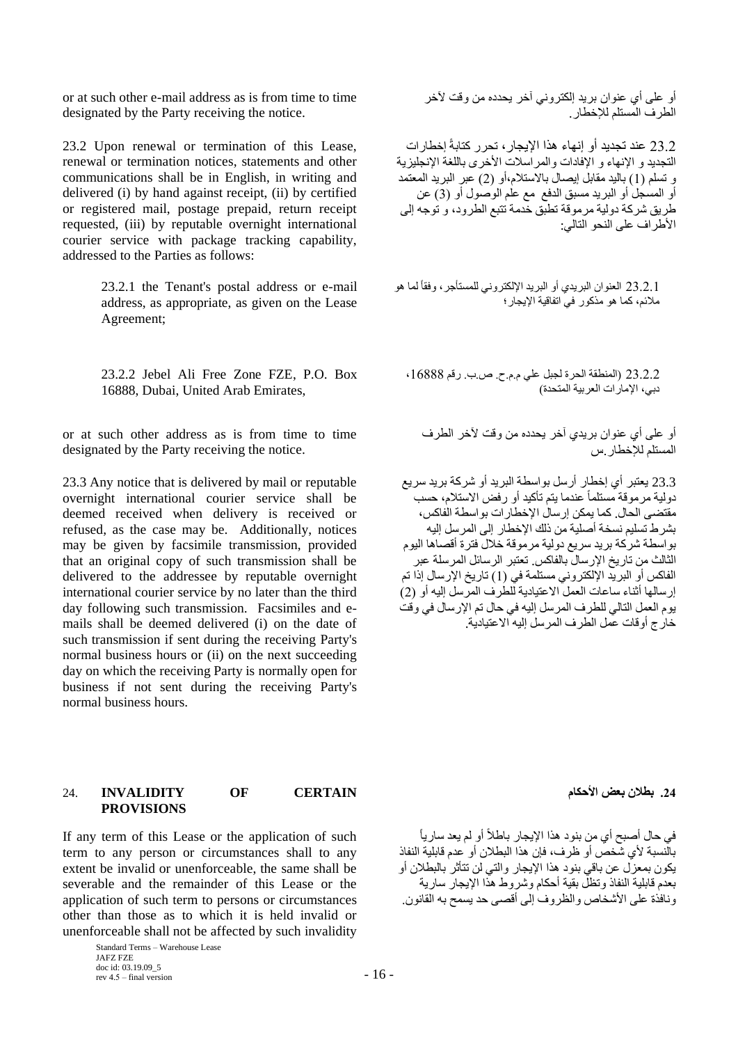or at such other e-mail address as is from time to time designated by the Party receiving the notice.

23.2 Upon renewal or termination of this Lease, renewal or termination notices, statements and other communications shall be in English, in writing and delivered (i) by hand against receipt, (ii) by certified or registered mail, postage prepaid, return receipt requested, (iii) by reputable overnight international courier service with package tracking capability, addressed to the Parties as follows:

> 23.2.1 the Tenant's postal address or e-mail address, as appropriate, as given on the Lease Agreement;

> 23.2.2 Jebel Ali Free Zone FZE, P.O. Box 16888, Dubai, United Arab Emirates,

or at such other address as is from time to time designated by the Party receiving the notice.

23.3 Any notice that is delivered by mail or reputable overnight international courier service shall be deemed received when delivery is received or refused, as the case may be. Additionally, notices may be given by facsimile transmission, provided that an original copy of such transmission shall be delivered to the addressee by reputable overnight international courier service by no later than the third day following such transmission. Facsimiles and emails shall be deemed delivered (i) on the date of such transmission if sent during the receiving Party's normal business hours or (ii) on the next succeeding day on which the receiving Party is normally open for business if not sent during the receiving Party's normal business hours.

### **.24 بطالن بعض األحكام CERTAIN OF INVALIDITY** 24. **PROVISIONS**

If any term of this Lease or the application of such term to any person or circumstances shall to any extent be invalid or unenforceable, the same shall be severable and the remainder of this Lease or the application of such term to persons or circumstances other than those as to which it is held invalid or unenforceable shall not be affected by such invalidity

> Standard Terms – Warehouse Lease JAFZ FZE doc id: 03.19.09\_5 rev  $4.5 -$  final version  $-16 -$

أو على أي عنوان بريد إلكتروني آخر يحدده من وقت آلخر الطرف المستلم لإلخطار.

23.2 عند تجديد أو إنهاء هذا اإليجار، تحرر كتابةً إخطارات التجديد و الإنهاء و الإفادات والمر اسلات الأخرى باللغة الإنجليزية و تسلم (1) باليد مقابل إيصال بالاستلام،أو (2) عبر البريد المعتمد أو المسجل أو البريد مسبق الدفع مع علم الوصول أو )3( عن طريق شركة دولية مرموقة تطبق خدمة تتبع الطرود، و توجه إلى األطراف على النحو التالي:

23.2.1 العنوان البريدي أو البريد الإلكتروني للمستأجر، وفقاً لما هو مالئم، كما هو مذكور في اتفاقية اإليجار؛

23.2.2 (المنطقة الحرة لجبل على م.م.ح. ص.ب. رقم 16888، دبي، اإلمارات العربية المتحدة(

أو على أي عنوان بريدي آخر يحدده من وقت آلخر الطرف المستلم لإلخطار.س

23.3 يعتبر أي إخطار أرسل بواسطة البريد أو شركة بريد سريع دولية مرموقة مستلماً عندما يتم تأكيد أو رفض االستالم، حسب مقتضى الحال. كما يمكن إرسال اإلخطارات بواسطة الفاكس، بشرط تسليم نسخة أصلية من ذلك اإلخطار إلى المرسل إليه بواسطة شركة بريد سريع دولية مرموقة خالل فترة أقصاها اليوم الثالث من تاريخ اإلرسال بالفاكس. تعتبر الرسائل المرسلة عبر الفاكس أو البريد الإلكتروني مستلمة في (1) تاريخ الإرسال إذا تم إرسالها أثناء ساعات العمل االعتيادية للطرف المرسل إليه أو )2( يوم العمل التالي للطرف المرسل إليه في حال تم اإلرسال في وقت خارج أوقات عمل الطرف المرسل إليه االعتيادية.

في حال أصبح أي من بنود هذا الإيجار باطلاً أو لم يعد سارياً بالنسبة ألي شخص أو ظرف، فإن هذا البطالن أو عدم قابلية النفاذ يكون بمعزل عن باقي بنود هذا اإليجار والتي لن تتأثر بالبطالن أو بعدم قابلية النفاذ وتظل بقية أحكام وشروط هذا اإليجار سارية ونافذة على الأشخاص والظروف إلى أقصى حد يسمح به القانون.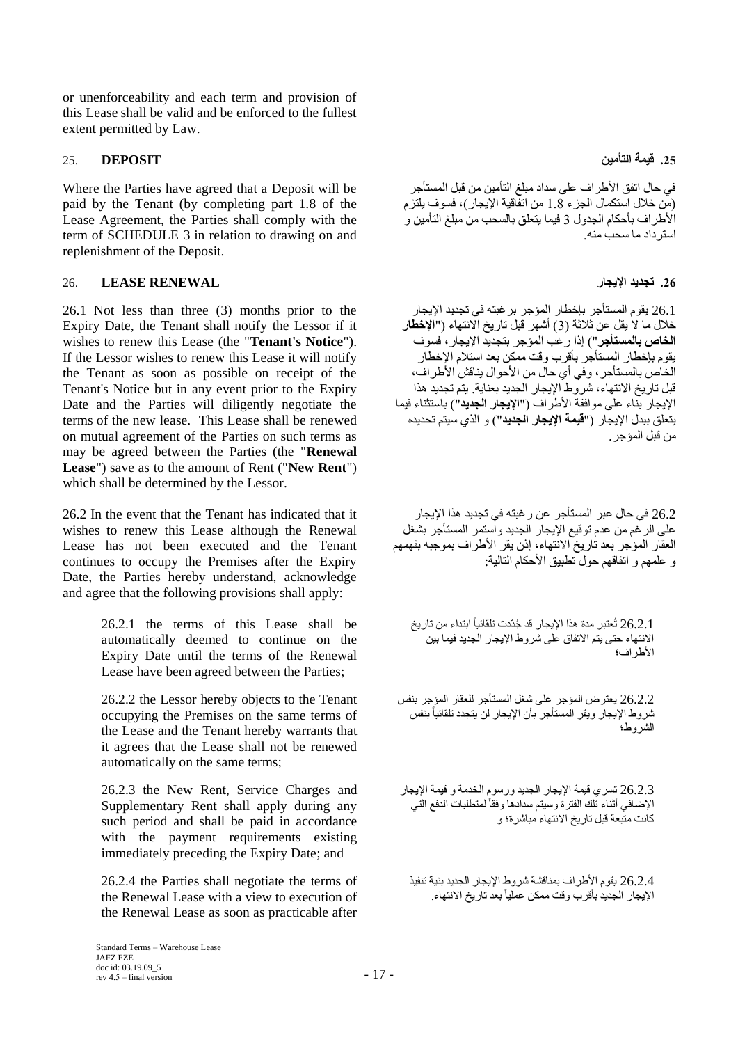or unenforceability and each term and provision of this Lease shall be valid and be enforced to the fullest extent permitted by Law.

# **.25 قيمة التأمين DEPOSIT** 25.

Where the Parties have agreed that a Deposit will be paid by the Tenant (by completing part 1.8 of the Lease Agreement, the Parties shall comply with the term of SCHEDULE 3 in relation to drawing on and replenishment of the Deposit.

## <span id="page-16-0"></span>**.26 تجديد اإليجار RENEWAL LEASE** 26.

26.1 Not less than three (3) months prior to the Expiry Date, the Tenant shall notify the Lessor if it wishes to renew this Lease (the "**Tenant's Notice**"). If the Lessor wishes to renew this Lease it will notify the Tenant as soon as possible on receipt of the Tenant's Notice but in any event prior to the Expiry Date and the Parties will diligently negotiate the terms of the new lease. This Lease shall be renewed on mutual agreement of the Parties on such terms as may be agreed between the Parties (the "**Renewal Lease**") save as to the amount of Rent ("**New Rent**") which shall be determined by the Lessor.

26.2 In the event that the Tenant has indicated that it wishes to renew this Lease although the Renewal Lease has not been executed and the Tenant continues to occupy the Premises after the Expiry Date, the Parties hereby understand, acknowledge and agree that the following provisions shall apply:

> 26.2.1 the terms of this Lease shall be automatically deemed to continue on the Expiry Date until the terms of the Renewal Lease have been agreed between the Parties;

> 26.2.2 the Lessor hereby objects to the Tenant occupying the Premises on the same terms of the Lease and the Tenant hereby warrants that it agrees that the Lease shall not be renewed automatically on the same terms;

> 26.2.3 the New Rent, Service Charges and Supplementary Rent shall apply during any such period and shall be paid in accordance with the payment requirements existing immediately preceding the Expiry Date; and

> 26.2.4 the Parties shall negotiate the terms of the Renewal Lease with a view to execution of the Renewal Lease as soon as practicable after

في حال اتفق الأطر اف على سداد مبلغ التأمين من قبل المستأجر )من خالل استكمال الجزء 1.8 من اتفاقية اإليجار(، فسوف يلتزم األطراف بأحكام الجدول 3 فيما يتعلق بالسحب من مبلغ التأمين و استرداد ما سحب منه.

26.1 يقوم المستأجر بإخطار المؤجر برغبته في تجديد اإليجار خالل ما ال يقل عن ثالثة )3( أشهر قبل تاريخ االنتهاء )"**اإلخطار الخاص بالمستأجر**"( إذا رغب المؤجر بتجديد اإليجار، فسوف يقوم بإخطار المستأجر بأقرب وقت ممكن بعد استالم اإلخطار الخاص بالمستأجر ، وفي أي حال من الأحوال يناقش الأطراف، قبل تاريخ االنتهاء، شروط اإليجار الجديد بعناية. يتم تجديد هذا اإليجار بناء على موافقة األطراف )"**اإليجار الجديد**"( باستثناء فيما يتعلق ببدل اإليجار )"**قيمة اإليجار الجديد**"( و الذي سيتم تحديده من قبل المؤجر.

26.2 في حال عبر المستأجر عن رغبته في تجديد هذا اإليجار على الرغم من عدم توقيع اإليجار الجديد واستمر المستأجر بشغل العقار المؤجر بعد تاريخ الانتهاء، إذن يقر الأطراف بموجبه بفهمهم و علمهم و اتفاقهم حول تطبيق الأحكام التالية:

26.2.1 تُعتبر مدة هذا الإيجار قد جُدّدت تلقائياً ابتداء من تاريخ االنتهاء حتى يتم االتفاق على شروط اإليجار الجديد فيما بين األطراف؛

26.2.2 يعترض المؤجر على شغل المستأجر للعقار المؤجر بنفس ثىروط الإيجار ويقر المستأجر بأن الإيجار لن يتجدد تلقائياً بنفس الشروط؛

26.2.3 تسري قيمة اإليجار الجديد ورسوم الخدمة و قيمة اإليجار الإضافي أثناء تلك الفترة وسيتم سدادها وفقاً لمتطلبات الدفع التي كانت متبعة قبل تاريخ االنتهاء مباشرة؛ و

26.2.4 يقوم األطراف بمناقشة شروط اإليجار الجديد بنية تنفيذ الإيجار الجديد بأقرب وقت ممكن عملياً بعد تاريخ الانتهاء.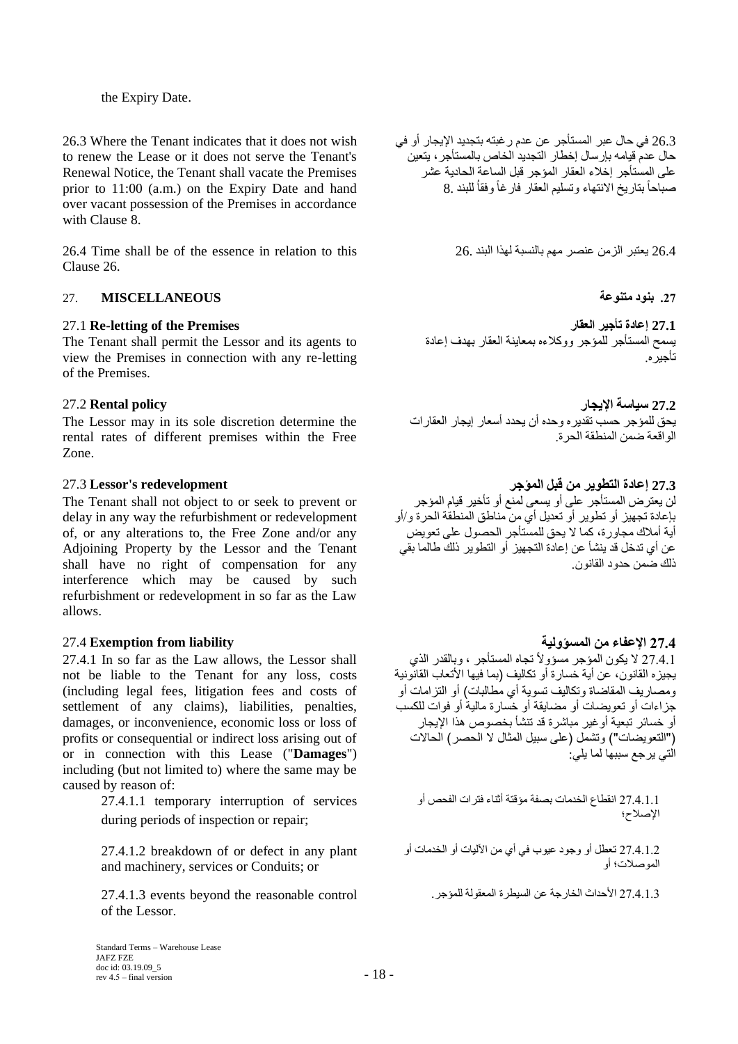### the Expiry Date.

26.3 Where the Tenant indicates that it does not wish to renew the Lease or it does not serve the Tenant's Renewal Notice, the Tenant shall vacate the Premises prior to 11:00 (a.m.) on the Expiry Date and hand over vacant possession of the Premises in accordance with Clause [8.](#page-6-0)

26.4 Time shall be of the essence in relation to this 26. البند لهذا بالنسبة مهم عنصر الزمن يعتبر 26.4 Clause [26.](#page-16-0)

# **.27 بنود متنوعة MISCELLANEOUS** 27.

The Tenant shall permit the Lessor and its agents to view the Premises in connection with any re-letting of the Premises.

# **27.2 سياسة اإليجار policy Rental** 27.2

The Lessor may in its sole discretion determine the rental rates of different premises within the Free Zone.

The Tenant shall not object to or seek to prevent or delay in any way the refurbishment or redevelopment of, or any alterations to, the Free Zone and/or any Adjoining Property by the Lessor and the Tenant shall have no right of compensation for any interference which may be caused by such refurbishment or redevelopment in so far as the Law allows.

# **27.4 اإلعفاء من المسؤولية liability from Exemption** 27.4

27.4.1 In so far as the Law allows, the Lessor shall not be liable to the Tenant for any loss, costs (including legal fees, litigation fees and costs of settlement of any claims), liabilities, penalties, damages, or inconvenience, economic loss or loss of profits or consequential or indirect loss arising out of or in connection with this Lease ("**Damages**") including (but not limited to) where the same may be caused by reason of:

> 27.4.1.1 temporary interruption of services during periods of inspection or repair;

27.4.1.2 breakdown of or defect in any plant and machinery, services or Conduits; or

27.4.1.3 األحداث الخارجة عن السيطرة المعقولة للمؤجر. control reasonable the beyond events 27.4.1.3 of the Lessor.

26.3 في حال عبر المستأجر عن عدم رغبته بتجديد اإليجار أو في حال عدم قيامه بإرسال إخطار التجديد الخاص بالمستأجر، يتعين على المستأجر إخالء العقار المؤجر قبل الساعة الحادية عشر صباحاً بتاريخ االنتهاء وتسليم العقار فارغاً وفقاُ للبند 8.

27.1 **Re-letting of the Premises العقار تأجير إعادة 27.1** يسمح المستأجر للمؤجر ووكالءه بمعاينة العقار بهدف إعادة تأجيره.

يحق للمؤجر حسب تقديره وحده أن يحدد أسعار إيجار العقارات الواقعة ضمن المنطقة الحرة.

**27.3 إعادة التطوير من قبل المؤجر redevelopment s'Lessor** 27.3

لن يعترض المستأجر على أو يسعى لمنع أو تأخير قيام المؤجر بإعادة تجهيز أو تطوير أو تعديل أي من مناطق المنطقة الحرة و/أو أية أمالك مجاورة، كما ال يحق للمستأجر الحصول على تعويض عن أي تدخل قد ينشأ عن إعادة التجهيز أو التطوير ذلك طالما بقي ذلك ضمن حدو د القانو ن.

27.4.1 لا يكون المؤجر مسؤولاً تجاه المستأجر ، وبالقدر الذي يجيزه القانون، عن أية خسارة أو تكاليف (بما فيها الأتعاب القانونية ومصاريف المقاضاة وتكاليف تسوية أي مطالبات) أو التزامات أو جزاءات أو تعويضات أو مضايقة أو خسارة مالية أو فوات للكسب أو خسائر تبعية أوغير مباشرة قد تنشأ بخصوص هذا اإليجار )"التعويضات"( وتشمل )على سبيل المثال ال الحصر( الحاالت التي يرجع سببها لما يلي:

27.4.1.1 انقطاع الخدمات بصفة مؤقتة أثناء فترات الفحص أو اإلصالح؛

27.4.1.2 تعطل أو وجود عيوب في أي من اآلليات أو الخدمات أو الموصالت؛ أو

Standard Terms – Warehouse Lease JAFZ FZE doc id: 03.19.09\_5 rev  $4.5 -$  final version  $-18 -$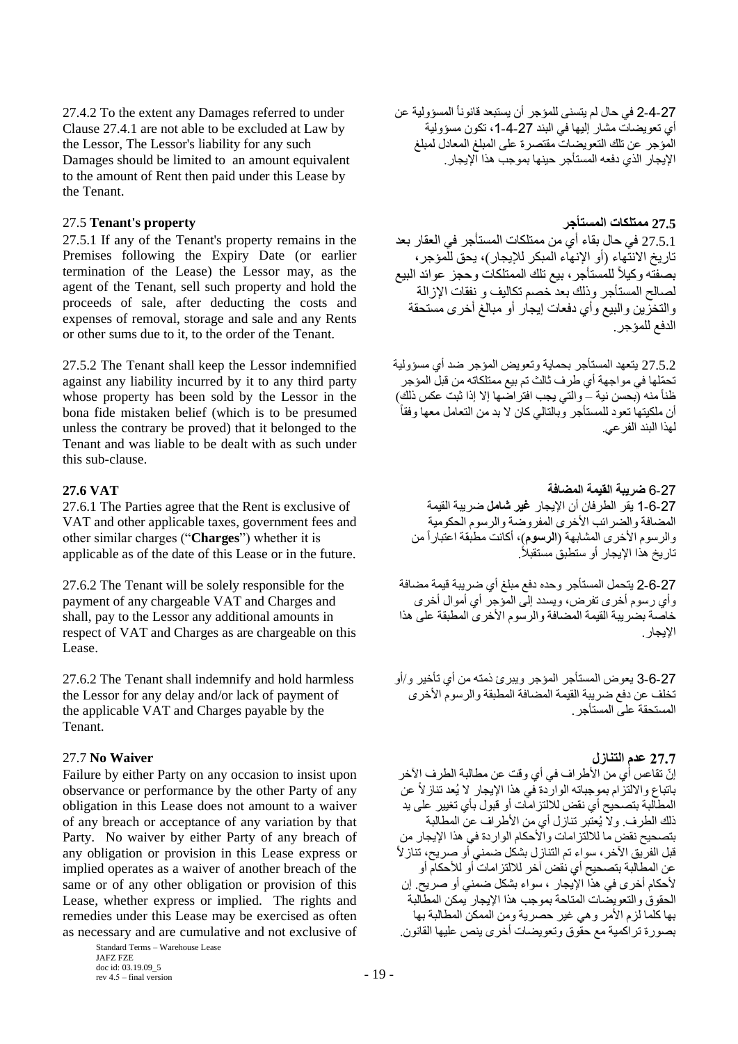27.4.2 To the extent any Damages referred to under Clause 27.4.1 are not able to be excluded at Law by the Lessor, The Lessor's liability for any such Damages should be limited to an amount equivalent to the amount of Rent then paid under this Lease by the Tenant.

# 27.5 **Tenant's property المستأجر ممتلكات 27.5**

27.5.1 If any of the Tenant's property remains in the Premises following the Expiry Date (or earlier termination of the Lease) the Lessor may, as the agent of the Tenant, sell such property and hold the proceeds of sale, after deducting the costs and expenses of removal, storage and sale and any Rents or other sums due to it, to the order of the Tenant.

27.5.2 The Tenant shall keep the Lessor indemnified against any liability incurred by it to any third party whose property has been sold by the Lessor in the bona fide mistaken belief (which is to be presumed unless the contrary be proved) that it belonged to the Tenant and was liable to be dealt with as such under this sub-clause.

27.6.1 The Parties agree that the Rent is exclusive of VAT and other applicable taxes, government fees and other similar charges ("**Charges**") whether it is applicable as of the date of this Lease or in the future.

27.6.2 The Tenant will be solely responsible for the payment of any chargeable VAT and Charges and shall, pay to the Lessor any additional amounts in respect of VAT and Charges as are chargeable on this Lease.

27.6.2 The Tenant shall indemnify and hold harmless the Lessor for any delay and/or lack of payment of the applicable VAT and Charges payable by the Tenant.

### **27.7 عدم التنازل Waiver No** 27.7

Failure by either Party on any occasion to insist upon observance or performance by the other Party of any obligation in this Lease does not amount to a waiver of any breach or acceptance of any variation by that Party. No waiver by either Party of any breach of any obligation or provision in this Lease express or implied operates as a waiver of another breach of the same or of any other obligation or provision of this Lease, whether express or implied. The rights and remedies under this Lease may be exercised as often as necessary and are cumulative and not exclusive of

> Standard Terms – Warehouse Lease JAFZ FZE doc id: 03.19.09\_5 rev  $4.5 -$  final version  $-19 -$

2-4-2 في حال لم يتسنى للمؤجر أن يستبعد قانوناً المسؤولية عن أي تعويضات مشار إليها في البند 27-4-1، تكون مسؤولية المؤجر عن تلك التعويضات مقتصرة على المبلغ المعادل لمبلغ اإليجار الذي دفعه المستأجر حينها بموجب هذا اإليجار.

27.5.1 في حال بقاء أي من ممتلكات المستأجر في العقار بعد تاريخ الانتّهاء (أو الإنهاء المبكر للإيجار)، يحق للّمؤجر، بصفتّه وكيلأ للمستأجر، بيع نلك الممتلكات وحجز عوائد البيع لصالح المستأجر وذلك بعد خصم تكاليف و نفقات اإلزالة والتخزين والبيع وأي دفعات إيجار أو مبالغ أخرى مستحقة الدفع للمؤجر .

27.5.2 يتعهد المستأجر بحماية وتعويض المؤجر ةد أي مسؤولية تح ّملها في مواجهة أي طرف ثالث تم بيع ممتلكاته من قبل المؤجر ظناً منه (بحسن نية – والتي يجب افتراضـها إلا إذا ثبت عكس ذلك) أن ملكيتها تعود للمستأجر وبالتالي كان لا بد من التعامل معها وفقاً لهذا البند الفرعي.

6-27 **ضريبة القيمة المضافة VAT 27.6** 1-6-27 يقر الطرفان أن اإليجار **غير شامل** ةريبة القيمة المضافة والضرائب الأخرى المفروضة والرسوم الحكومية والرسوم األخرى المشابهة )**الرسوم**(، أكانت مطبقة اعتباراً من تاريخ هذا الإيجار أو ستطبق مستقبلاً .

> 26-27 يتحمل المستأجر وحده دفع مبلغ أي ضريبة قيمة مضافة وأي رسوم أخرى تفرض، ويسدد إلى المؤجر أي أموال أخرى خاصة بضريبة القيمة المضافة والرسوم األخرى المطبقة على هذا اإليجار.

3-6-27 يعوض المستأجر المؤجر ويبرئ ذمته من أي تأخير و/أو تخلف عن دفع ضريبة القيمة المضافة المطبقة والرسوم الأخرى المستحقة على المستأجر.

إنّ تقاعس أي من الأطراف في أي وقت عن مطالبة الطرف الآخر باتباع والالتزام بموجباته الواردة في هذا الإيجار لا يُعد تناز لأ عن المطالبة بتصحيح أي نقض لاللتزامات أو قبول بأي تغيير على يد ذلك الطرف. وال يُعتبر تنازل أي من األطراف عن المطالبة بتصحيح نقض ما لاللتزامات واألحكام الواردة في هذا اإليجار من قبل الفريق الآخر ، سواء تم التنازل بشكل ضمني أو صريح، تناز لأ عن المطالبة بتصحيح أي نقض آخر لاللتزامات أو لألحكام أو لأحكام أخرى في هذا الإيجار ، سواء بشكل ضمني أو صريح. إن الحقوق والتعويضات المتاحة بموجب هذا اإليجار يمكن المطالبة بها كلما لزم األمر وهي غير حصرية ومن الممكن المطالبة بها بصورة تراكمية مع حقوق وتعويضات أخرى ينص عليها القانون.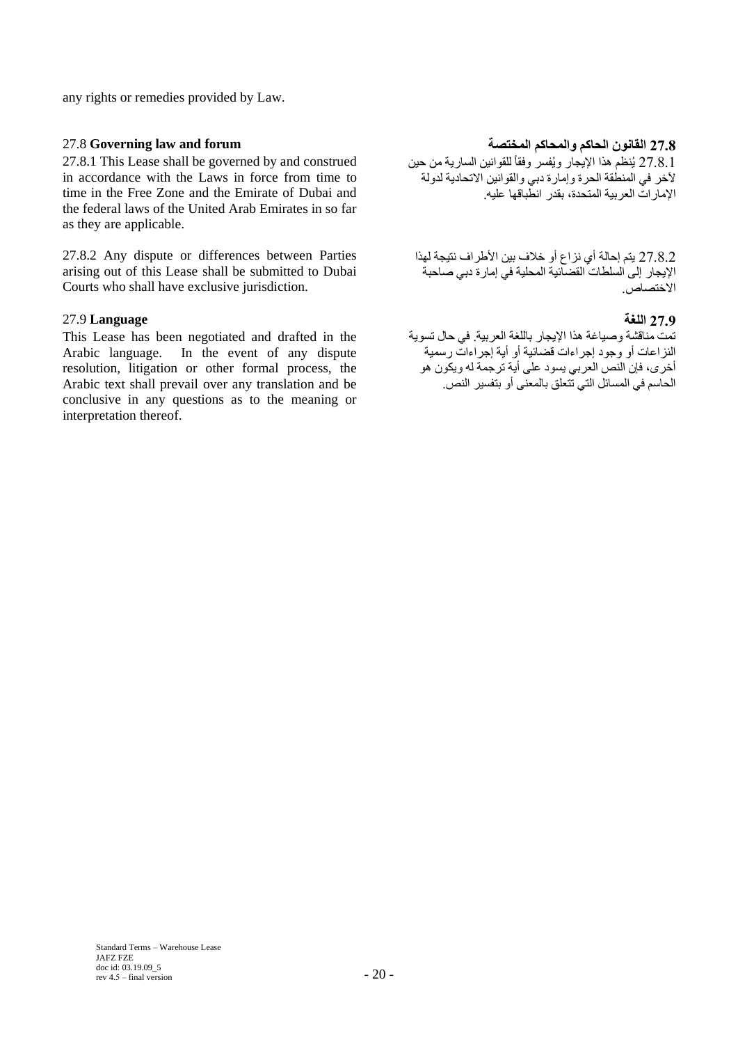any rights or remedies provided by Law.

27.8.1 This Lease shall be governed by and construed in accordance with the Laws in force from time to time in the Free Zone and the Emirate of Dubai and the federal laws of the United Arab Emirates in so far as they are applicable.

27.8.2 Any dispute or differences between Parties arising out of this Lease shall be submitted to Dubai Courts who shall have exclusive jurisdiction.

## **27.9 اللغة Language** 27.9

This Lease has been negotiated and drafted in the Arabic language. In the event of any dispute resolution, litigation or other formal process, the Arabic text shall prevail over any translation and be conclusive in any questions as to the meaning or interpretation thereof.

# **27.8 القانون الحاكم والمحاكم المختصة forum and law Governing** 27.8

27.8.1 يُنظم هذا الإيجار ويُفسر وفقاً للقوانين السارية من حين آلخر في المنطقة الحرة وإمارة دبي والقوانين االتحادية لدولة اإلمارات العربية المتحدة، بقدر انطباقها عليه.

27.8.2 يتم إحالة أي نزاع أو خالف بين األطراف نتيجة لهذا اإليجار إلى السلطات القضائية المحلية في إمارة دبي صاحبة االختصاص.

تمت مناقشة وصياغة هذا اإليجار باللغة العربية. في حال تسوية النزاعات أو وجود إجراءات قضائية أو أية إجراءات رسمية أخرى، فإن النص العربي يسود على أية ترجمة له ويكون هو الحاسم في المسائل التي تتعلق بالمعنى أو بتفسير النص.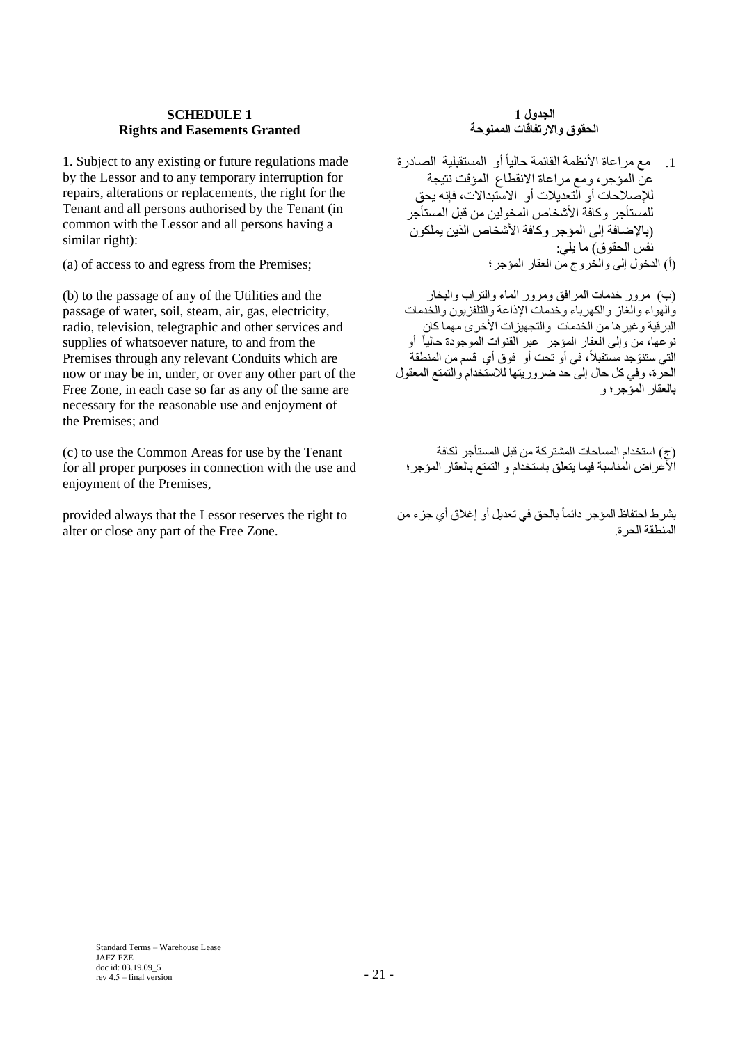## **SCHEDULE 1 Rights and Easements Granted**

1. Subject to any existing or future regulations made by the Lessor and to any temporary interruption for repairs, alterations or replacements, the right for the Tenant and all persons authorised by the Tenant (in common with the Lessor and all persons having a similar right):

(a) of access to and egress from the Premises;

(b) to the passage of any of the Utilities and the passage of water, soil, steam, air, gas, electricity, radio, television, telegraphic and other services and supplies of whatsoever nature, to and from the Premises through any relevant Conduits which are now or may be in, under, or over any other part of the Free Zone, in each case so far as any of the same are necessary for the reasonable use and enjoyment of the Premises; and

(c) to use the Common Areas for use by the Tenant for all proper purposes in connection with the use and enjoyment of the Premises,

provided always that the Lessor reserves the right to alter or close any part of the Free Zone.

# **الجدول 1 الحقوق واالرتفاقات الممنوحة**

.1 مع مراعاة األنظمة القائمة حالياً أو المستقبلية الصادرة عن المؤجر، ومع مراعاة االنقطاع المؤقت نتيجة لإلصالحات أو التعديالت أو االستبداالت، فإنه يحق للمستأجر وكافة األشخاص المخولين من قبل المستأجر )باإلةافة إلى المؤجر وكافة األشخاص الذين يملكون نُفسُ الحقوق) ما يلي:<br>(أ) الدخول إلى والخروج من العقار المؤجر ؛

)ب( مرور خدمات المرافق ومرور الماء والتراب والبخار والهواء والغاز والكهرباء وخدمات اإلذاعة والتلفزيون والخدمات البرقية وغيرها من الخدمات والتجهيزات الأخرى مهما كان نوعها، من وإلى العقار المؤجر عبر القنوات الموجودة حالياً أو التي ستنوَجد مستقبلاً، في أو تحت أو فوق أي قسم من المنطقة الحرة، وفي كل حال إلى حد ضروريتها للاستخدام والتمتع المعقول بالعقار المؤجر؛ و

)ج( استخدام المساحات المشتركة من قبل المستأجر لكافة األغراض المناسبة فيما يتعلق باستخدام و التمتع بالعقار المؤجر؛

بشرط احتفاظ المؤجر دائماً بالحق في تعديل أو إغالق أي جزء من المنطقة الحرة.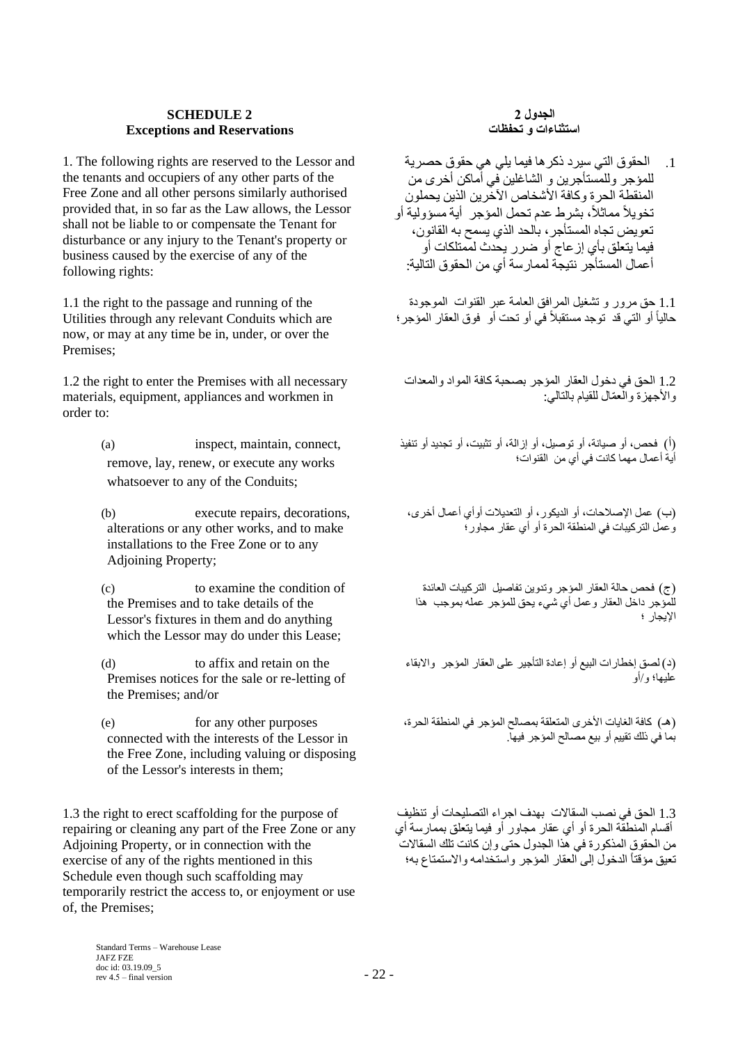### **SCHEDULE 2 Exceptions and Reservations**

1. The following rights are reserved to the Lessor and the tenants and occupiers of any other parts of the Free Zone and all other persons similarly authorised provided that, in so far as the Law allows, the Lessor shall not be liable to or compensate the Tenant for disturbance or any injury to the Tenant's property or business caused by the exercise of any of the following rights:

1.1 the right to the passage and running of the Utilities through any relevant Conduits which are now, or may at any time be in, under, or over the Premises;

1.2 the right to enter the Premises with all necessary materials, equipment, appliances and workmen in order to:

- (a) inspect, maintain, connect, remove, lay, renew, or execute any works whatsoever to any of the Conduits;
- (b) execute repairs, decorations, alterations or any other works, and to make installations to the Free Zone or to any Adjoining Property;
- (c) to examine the condition of the Premises and to take details of the Lessor's fixtures in them and do anything which the Lessor may do under this Lease;

(d) to affix and retain on the Premises notices for the sale or re-letting of the Premises; and/or

(e) for any other purposes connected with the interests of the Lessor in the Free Zone, including valuing or disposing of the Lessor's interests in them;

1.3 the right to erect scaffolding for the purpose of repairing or cleaning any part of the Free Zone or any Adjoining Property, or in connection with the exercise of any of the rights mentioned in this Schedule even though such scaffolding may temporarily restrict the access to, or enjoyment or use of, the Premises;

### **الجدول 2 استثناءات و تحفظات**

.1 الحقوق التي سيرد ذكرها فيما يلي هي حقوق حصرية للمؤجر وللمستأجرين و الشاغلين في أماكن أخرى من المنقطة الحرة وكافة األشخاص اآلخرين الذين يحملون تخويلاً مماثلاً، بشرط عدم تحمل المؤجر ۖ أية مسؤولية أو تعويض تجاه المستأجر، بالحد الذي يسمح به القانون، فيما يتعلق بأي إزعاج أو ةرر يحدث لممتلكات أو أعمال المستأجر نتيجة لممارسة أي من الحقوق التالية:

1.1 حق مرور و تشغيل المرافق العامة عبر القنوات الموجودة حالياً أو التي قد توجد مستقبلاً في أو تحت أو فوق العقار المؤجر ؛

1.2 الحق في دخول العقار المؤجر بصحبة كافة المواد والمعدات والأجهزة والعمّال للقيام بالتالي:

)أ( فحص، أو صيانة، أو توصيل، أو إزالة، أو تثبيت، أو تجديد أو تنفيذ أية أعمال مهما كانت في أي من القنوات؛

)ب( عمل اإلصالحات، أو الديكور، أو التعديالت أوأي أعمال أخرى، وعمل التركيبات في المنطقة الحرة أو أي عقار مجاور؛

)ج( فحص حالة العقار المؤجر وتدوين تفاصيل التركيبات العائدة للمؤجر داخل العقار وعمل أي شيء يحق للمؤجر عمله بموجب هذا اإليجار ؛

)د( لصق إخطارات البيع أو إعادة التأجير على العقار المؤجر واالبقاء عليها؛ و/أو

(هـ) كافة الغايات الأخرى المتعلقة بمصالح المؤجر في المنطقة الحرة، بما في ذلك تقييم أو بيع مصالح المؤجر فيها.

1.3 الحق في نصب السقاالت بهدف اجراء التصليحات أو تنظيف أقسام المنطقة الحرة أو أي عقار مجاور أو فيما يتعلق بممارسة أي من الحقوق المذكورة في هذا الجدول حتى وإن كانت تلك السقاالت تعيق مؤقتاً الدخول إلى العقار المؤجر واستخدامه واالستمتاع به؛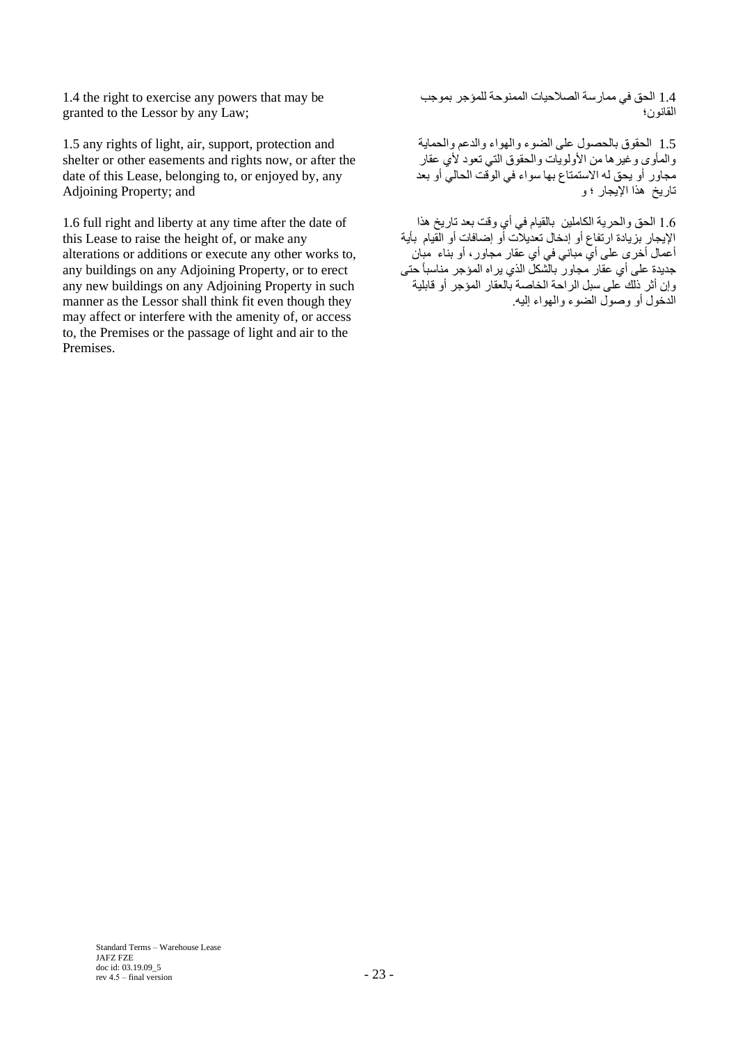1.4 the right to exercise any powers that may be granted to the Lessor by any Law;

1.5 any rights of light, air, support, protection and shelter or other easements and rights now, or after the date of this Lease, belonging to, or enjoyed by, any Adjoining Property; and

1.6 full right and liberty at any time after the date of this Lease to raise the height of, or make any alterations or additions or execute any other works to, any buildings on any Adjoining Property, or to erect any new buildings on any Adjoining Property in such manner as the Lessor shall think fit even though they may affect or interfere with the amenity of, or access to, the Premises or the passage of light and air to the Premises.

1.4 الحق في ممارسة الصالحيات الممنوحة للمؤجر بموجب القانون؛

1.5 الحقوق بالحصول على الضوء والهواء والدعم والحماية والمأوى وغيرها من الأولويات والحقوق التي تعود لأي عقار مجاور أو يحق له االستمتاع بها سواء في الوقت الحالي أو بعد تاريخ هذا اإليجار ؛ و

1.6 الحق والحرية الكاملين بالقيام في أي وقت بعد تاريخ هذا الإيجار بزيادة ارتفاع أو إدخال تعديلات أو إضافات أو القيام بأية أعمال أخرى على أي مباني في أي عقار مجاور، أو بناء مبان , عمان على الله عن على الله عن على الله عن الله على الله عنه من الله عنه على أي عقار<br>جديدة على أي عقار مجاور بالشكل الذي يراه المؤجر مناسباً حتى وإن أثر ذلك على سبل الراحة الخاصة بالعقار المؤجر أو قابلية الدخول أو وصول الضوء والهواء إليه.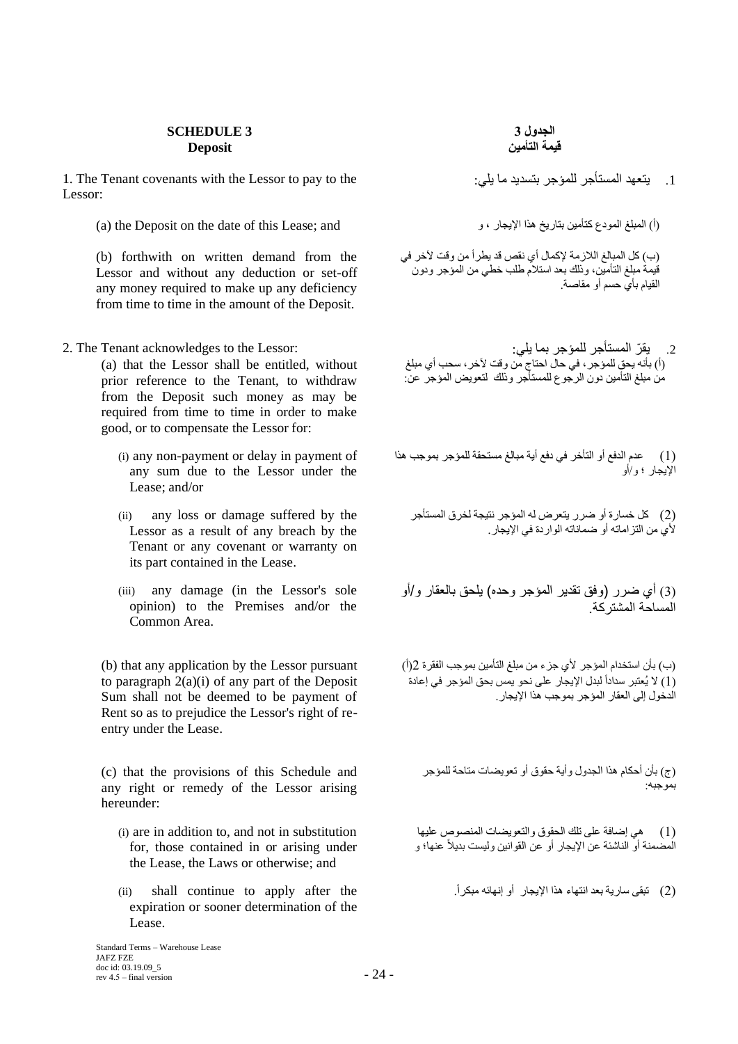### **SCHEDULE 3 Deposit**

1. The Tenant covenants with the Lessor to pay to the :يتعهد المستأجر للمؤجر بتسديد ما بلي: Lessor:

(a) the Deposit on the date of this Lease; and (أ) المبلغ المودع كتأمين بتاريخ هذا الإيجار ، و ، و ، و ، و ، و

(b) forthwith on written demand from the Lessor and without any deduction or set-off any money required to make up any deficiency from time to time in the amount of the Deposit.

(a) that the Lessor shall be entitled, without prior reference to the Tenant, to withdraw from the Deposit such money as may be required from time to time in order to make good, or to compensate the Lessor for:

- (i) any non-payment or delay in payment of any sum due to the Lessor under the Lease; and/or
- (ii) any loss or damage suffered by the Lessor as a result of any breach by the Tenant or any covenant or warranty on its part contained in the Lease.
- (iii) any damage (in the Lessor's sole opinion) to the Premises and/or the Common Area.

(b) that any application by the Lessor pursuant to paragraph 2(a)(i) of any part of the Deposit Sum shall not be deemed to be payment of Rent so as to prejudice the Lessor's right of reentry under the Lease.

(c) that the provisions of this Schedule and any right or remedy of the Lessor arising hereunder:

- (i) are in addition to, and not in substitution for, those contained in or arising under the Lease, the Laws or otherwise; and
- expiration or sooner determination of the Lease.

)ب( كل المبالغ الالزمة إلكمال أي نقص قد يطرأ من وقت آلخر في قيمة مبلغ التأمين، وذلك بعد استالم طلب خطي من المؤجر ودون القيام بأي حسم أو مقاصة.

- .2 يق ّر المستأجر للمؤجر بما يلي: :Lessor the to acknowledges Tenant The 2. (أ) بأنه يحق للمؤجر ، في حال احتاج من وقت لأخر ، سحب أي مبلغ من مبلغ التأمين دون الرجوع للمستأجر وذلك لتعويض المؤجر عن:
	- )1( عدم الدفع أو التأخر في دفع أية مبالغ مستحقة للمؤجر بموجب هذا اإليجار ؛ و/أو
		- )2( كل خسارة أو ةرر يتعرض له المؤجر نتيجة لخرق المستأجر لأي من التزاماته أو ضماناته الواردة في الإيجار.

)3( أي ضرر )وفق تقدير المؤجر وحده( يلحق بالعقار و/أو المساحة المشتركة.

)ب( بأن استخدام المؤجر ألي جزء من مبلغ التأمين بموجب الفقرة 2)أ( (1) لا يُعتبر سداداً لبدل الإيجار على نحو يمس بحق المؤجر في إعادة الدخول إلى العقار المؤجر بموجب هذا اإليجار.

)ج( بأن أحكام هذا الجدول وأية حقوق أو تعويضات متاحة للمؤجر بموجبه:

)1( هي إةافة على تلك الحقوق والتعويضات المنصوص عليها المضمنة أو الناشئة عن الإيجار أو عن القوانين وليست بديلاً عنها؛ و

)2( تبقى سارية بعد انتهاء هذا اإليجار أو إنهائه مبكرا.ً the after apply to continue shall) ii(